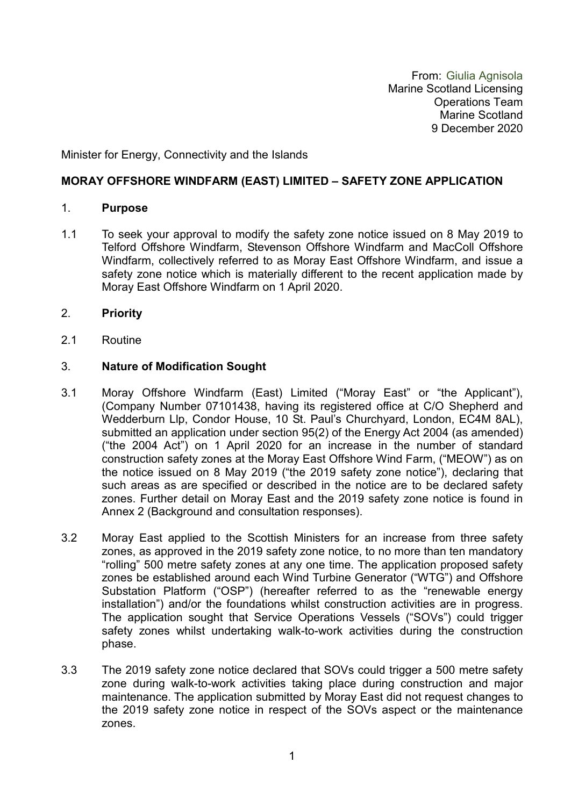From: Giulia Agnisola Marine Scotland Licensing Operations Team Marine Scotland 9 December 2020

Minister for Energy, Connectivity and the Islands

### **MORAY OFFSHORE WINDFARM (EAST) LIMITED – SAFETY ZONE APPLICATION**

#### 1. **Purpose**

- 1.1 To seek your approval to modify the safety zone notice issued on 8 May 2019 to Telford Offshore Windfarm, Stevenson Offshore Windfarm and MacColl Offshore Windfarm, collectively referred to as Moray East Offshore Windfarm, and issue a safety zone notice which is materially different to the recent application made by Moray East Offshore Windfarm on 1 April 2020.
- 2. **Priority**
- 2.1 Routine

#### 3. **Nature of Modification Sought**

- 3.1 Moray Offshore Windfarm (East) Limited ("Moray East" or "the Applicant"), (Company Number 07101438, having its registered office at C/O Shepherd and Wedderburn Llp, Condor House, 10 St. Paul's Churchyard, London, EC4M 8AL), submitted an application under section 95(2) of the Energy Act 2004 (as amended) ("the 2004 Act") on 1 April 2020 for an increase in the number of standard construction safety zones at the Moray East Offshore Wind Farm, ("MEOW") as on the notice issued on 8 May 2019 ("the 2019 safety zone notice"), declaring that such areas as are specified or described in the notice are to be declared safety zones. Further detail on Moray East and the 2019 safety zone notice is found in Annex 2 (Background and consultation responses).
- 3.2 Moray East applied to the Scottish Ministers for an increase from three safety zones, as approved in the 2019 safety zone notice, to no more than ten mandatory "rolling" 500 metre safety zones at any one time. The application proposed safety zones be established around each Wind Turbine Generator ("WTG") and Offshore Substation Platform ("OSP") (hereafter referred to as the "renewable energy installation") and/or the foundations whilst construction activities are in progress. The application sought that Service Operations Vessels ("SOVs") could trigger safety zones whilst undertaking walk-to-work activities during the construction phase.
- 3.3 The 2019 safety zone notice declared that SOVs could trigger a 500 metre safety zone during walk-to-work activities taking place during construction and major maintenance. The application submitted by Moray East did not request changes to the 2019 safety zone notice in respect of the SOVs aspect or the maintenance zones.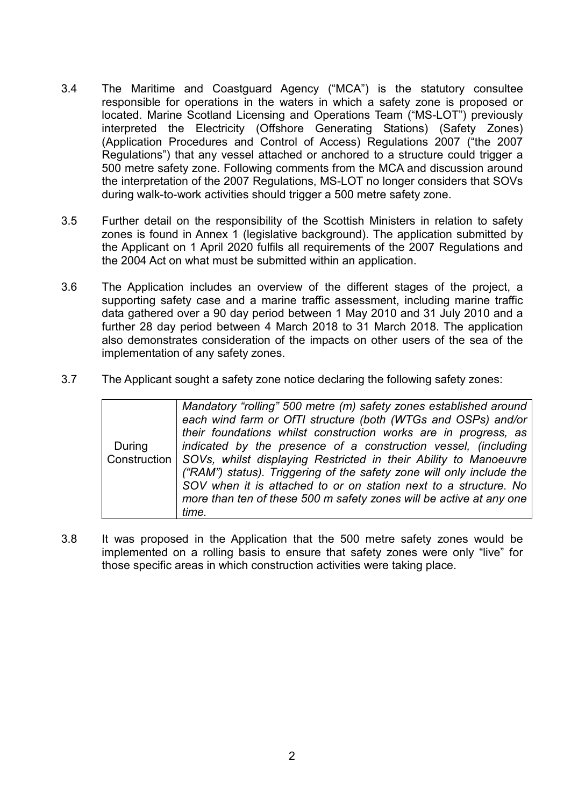- 3.4 The Maritime and Coastguard Agency ("MCA") is the statutory consultee responsible for operations in the waters in which a safety zone is proposed or located. Marine Scotland Licensing and Operations Team ("MS-LOT") previously interpreted the Electricity (Offshore Generating Stations) (Safety Zones) (Application Procedures and Control of Access) Regulations 2007 ("the 2007 Regulations") that any vessel attached or anchored to a structure could trigger a 500 metre safety zone. Following comments from the MCA and discussion around the interpretation of the 2007 Regulations, MS-LOT no longer considers that SOVs during walk-to-work activities should trigger a 500 metre safety zone.
- 3.5 Further detail on the responsibility of the Scottish Ministers in relation to safety zones is found in Annex 1 (legislative background). The application submitted by the Applicant on 1 April 2020 fulfils all requirements of the 2007 Regulations and the 2004 Act on what must be submitted within an application.
- 3.6 The Application includes an overview of the different stages of the project, a supporting safety case and a marine traffic assessment, including marine traffic data gathered over a 90 day period between 1 May 2010 and 31 July 2010 and a further 28 day period between 4 March 2018 to 31 March 2018. The application also demonstrates consideration of the impacts on other users of the sea of the implementation of any safety zones.
- 3.7 The Applicant sought a safety zone notice declaring the following safety zones:

|        | Mandatory "rolling" 500 metre (m) safety zones established around               |
|--------|---------------------------------------------------------------------------------|
|        | each wind farm or OfTI structure (both (WTGs and OSPs) and/or                   |
|        | their foundations whilst construction works are in progress, as                 |
| During | indicated by the presence of a construction vessel, (including                  |
|        | Construction   SOVs, whilst displaying Restricted in their Ability to Manoeuvre |
|        | ("RAM") status). Triggering of the safety zone will only include the            |
|        | SOV when it is attached to or on station next to a structure. No                |
|        | more than ten of these 500 m safety zones will be active at any one             |
|        | time.                                                                           |

3.8 It was proposed in the Application that the 500 metre safety zones would be implemented on a rolling basis to ensure that safety zones were only "live" for those specific areas in which construction activities were taking place.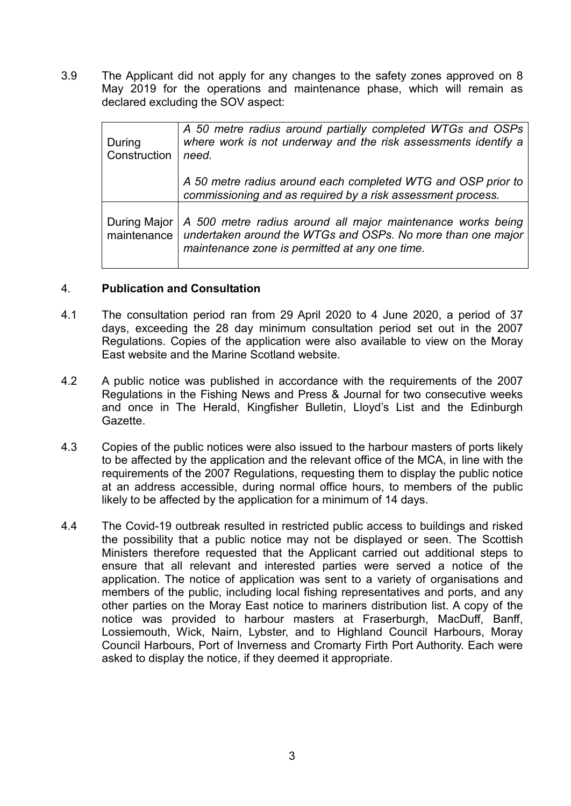3.9 The Applicant did not apply for any changes to the safety zones approved on 8 May 2019 for the operations and maintenance phase, which will remain as declared excluding the SOV aspect:

| During<br>Construction | A 50 metre radius around partially completed WTGs and OSPs<br>where work is not underway and the risk assessments identify a<br>need.                                                                     |
|------------------------|-----------------------------------------------------------------------------------------------------------------------------------------------------------------------------------------------------------|
|                        | A 50 metre radius around each completed WTG and OSP prior to<br>commissioning and as required by a risk assessment process.                                                                               |
|                        | During Major   A 500 metre radius around all major maintenance works being<br>maintenance   undertaken around the WTGs and OSPs. No more than one major<br>maintenance zone is permitted at any one time. |

### 4. **Publication and Consultation**

- 4.1 The consultation period ran from 29 April 2020 to 4 June 2020, a period of 37 days, exceeding the 28 day minimum consultation period set out in the 2007 Regulations. Copies of the application were also available to view on the Moray East website and the Marine Scotland website.
- 4.2 A public notice was published in accordance with the requirements of the 2007 Regulations in the Fishing News and Press & Journal for two consecutive weeks and once in The Herald, Kingfisher Bulletin, Lloyd's List and the Edinburgh Gazette.
- 4.3 Copies of the public notices were also issued to the harbour masters of ports likely to be affected by the application and the relevant office of the MCA, in line with the requirements of the 2007 Regulations, requesting them to display the public notice at an address accessible, during normal office hours, to members of the public likely to be affected by the application for a minimum of 14 days.
- 4.4 The Covid-19 outbreak resulted in restricted public access to buildings and risked the possibility that a public notice may not be displayed or seen. The Scottish Ministers therefore requested that the Applicant carried out additional steps to ensure that all relevant and interested parties were served a notice of the application. The notice of application was sent to a variety of organisations and members of the public, including local fishing representatives and ports, and any other parties on the Moray East notice to mariners distribution list. A copy of the notice was provided to harbour masters at Fraserburgh, MacDuff, Banff, Lossiemouth, Wick, Nairn, Lybster, and to Highland Council Harbours, Moray Council Harbours, Port of Inverness and Cromarty Firth Port Authority. Each were asked to display the notice, if they deemed it appropriate.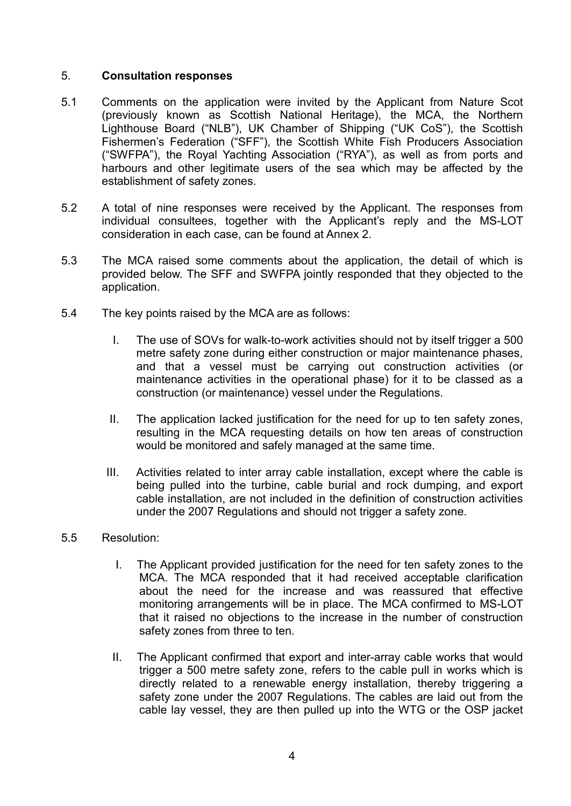### 5. **Consultation responses**

- 5.1 Comments on the application were invited by the Applicant from Nature Scot (previously known as Scottish National Heritage), the MCA, the Northern Lighthouse Board ("NLB"), UK Chamber of Shipping ("UK CoS"), the Scottish Fishermen's Federation ("SFF"), the Scottish White Fish Producers Association ("SWFPA"), the Royal Yachting Association ("RYA"), as well as from ports and harbours and other legitimate users of the sea which may be affected by the establishment of safety zones.
- 5.2 A total of nine responses were received by the Applicant. The responses from individual consultees, together with the Applicant's reply and the MS-LOT consideration in each case, can be found at Annex 2.
- 5.3 The MCA raised some comments about the application, the detail of which is provided below. The SFF and SWFPA jointly responded that they objected to the application.
- 5.4 The key points raised by the MCA are as follows:
	- I. The use of SOVs for walk-to-work activities should not by itself trigger a 500 metre safety zone during either construction or major maintenance phases, and that a vessel must be carrying out construction activities (or maintenance activities in the operational phase) for it to be classed as a construction (or maintenance) vessel under the Regulations.
	- II. The application lacked justification for the need for up to ten safety zones, resulting in the MCA requesting details on how ten areas of construction would be monitored and safely managed at the same time.
	- III. Activities related to inter array cable installation, except where the cable is being pulled into the turbine, cable burial and rock dumping, and export cable installation, are not included in the definition of construction activities under the 2007 Regulations and should not trigger a safety zone.

### 5.5 Resolution:

- I. The Applicant provided justification for the need for ten safety zones to the MCA. The MCA responded that it had received acceptable clarification about the need for the increase and was reassured that effective monitoring arrangements will be in place. The MCA confirmed to MS-LOT that it raised no objections to the increase in the number of construction safety zones from three to ten.
- II. The Applicant confirmed that export and inter-array cable works that would trigger a 500 metre safety zone, refers to the cable pull in works which is directly related to a renewable energy installation, thereby triggering a safety zone under the 2007 Regulations. The cables are laid out from the cable lay vessel, they are then pulled up into the WTG or the OSP jacket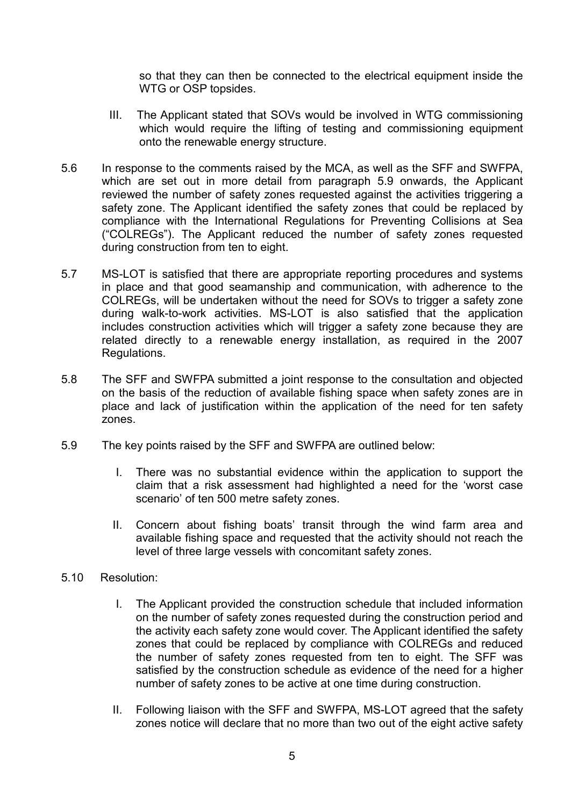so that they can then be connected to the electrical equipment inside the WTG or OSP topsides.

- III. The Applicant stated that SOVs would be involved in WTG commissioning which would require the lifting of testing and commissioning equipment onto the renewable energy structure.
- 5.6 In response to the comments raised by the MCA, as well as the SFF and SWFPA, which are set out in more detail from paragraph 5.9 onwards, the Applicant reviewed the number of safety zones requested against the activities triggering a safety zone. The Applicant identified the safety zones that could be replaced by compliance with the International Regulations for Preventing Collisions at Sea ("COLREGs"). The Applicant reduced the number of safety zones requested during construction from ten to eight.
- 5.7 MS-LOT is satisfied that there are appropriate reporting procedures and systems in place and that good seamanship and communication, with adherence to the COLREGs, will be undertaken without the need for SOVs to trigger a safety zone during walk-to-work activities. MS-LOT is also satisfied that the application includes construction activities which will trigger a safety zone because they are related directly to a renewable energy installation, as required in the 2007 Regulations.
- 5.8 The SFF and SWFPA submitted a joint response to the consultation and objected on the basis of the reduction of available fishing space when safety zones are in place and lack of justification within the application of the need for ten safety zones.
- 5.9 The key points raised by the SFF and SWFPA are outlined below:
	- I. There was no substantial evidence within the application to support the claim that a risk assessment had highlighted a need for the 'worst case scenario' of ten 500 metre safety zones.
	- II. Concern about fishing boats' transit through the wind farm area and available fishing space and requested that the activity should not reach the level of three large vessels with concomitant safety zones.
- 5.10 Resolution:
	- I. The Applicant provided the construction schedule that included information on the number of safety zones requested during the construction period and the activity each safety zone would cover. The Applicant identified the safety zones that could be replaced by compliance with COLREGs and reduced the number of safety zones requested from ten to eight. The SFF was satisfied by the construction schedule as evidence of the need for a higher number of safety zones to be active at one time during construction.
	- II. Following liaison with the SFF and SWFPA, MS-LOT agreed that the safety zones notice will declare that no more than two out of the eight active safety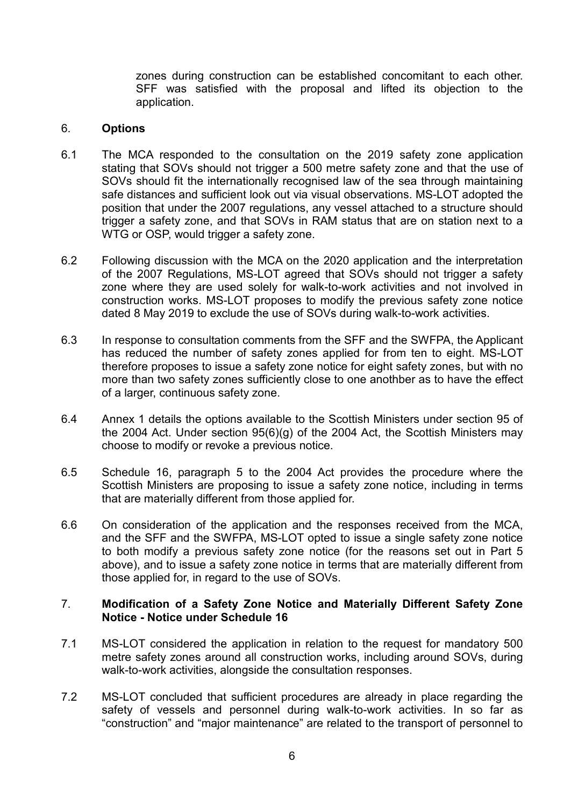zones during construction can be established concomitant to each other. SFF was satisfied with the proposal and lifted its objection to the application.

#### 6. **Options**

- 6.1 The MCA responded to the consultation on the 2019 safety zone application stating that SOVs should not trigger a 500 metre safety zone and that the use of SOVs should fit the internationally recognised law of the sea through maintaining safe distances and sufficient look out via visual observations. MS-LOT adopted the position that under the 2007 regulations, any vessel attached to a structure should trigger a safety zone, and that SOVs in RAM status that are on station next to a WTG or OSP, would trigger a safety zone.
- 6.2 Following discussion with the MCA on the 2020 application and the interpretation of the 2007 Regulations, MS-LOT agreed that SOVs should not trigger a safety zone where they are used solely for walk-to-work activities and not involved in construction works. MS-LOT proposes to modify the previous safety zone notice dated 8 May 2019 to exclude the use of SOVs during walk-to-work activities.
- 6.3 In response to consultation comments from the SFF and the SWFPA, the Applicant has reduced the number of safety zones applied for from ten to eight. MS-LOT therefore proposes to issue a safety zone notice for eight safety zones, but with no more than two safety zones sufficiently close to one anothber as to have the effect of a larger, continuous safety zone.
- 6.4 Annex 1 details the options available to the Scottish Ministers under section 95 of the 2004 Act. Under section 95(6)(g) of the 2004 Act, the Scottish Ministers may choose to modify or revoke a previous notice.
- 6.5 Schedule 16, paragraph 5 to the 2004 Act provides the procedure where the Scottish Ministers are proposing to issue a safety zone notice, including in terms that are materially different from those applied for.
- 6.6 On consideration of the application and the responses received from the MCA, and the SFF and the SWFPA, MS-LOT opted to issue a single safety zone notice to both modify a previous safety zone notice (for the reasons set out in Part 5 above), and to issue a safety zone notice in terms that are materially different from those applied for, in regard to the use of SOVs.

### 7. **Modification of a Safety Zone Notice and Materially Different Safety Zone Notice - Notice under Schedule 16**

- 7.1 MS-LOT considered the application in relation to the request for mandatory 500 metre safety zones around all construction works, including around SOVs, during walk-to-work activities, alongside the consultation responses.
- 7.2 MS-LOT concluded that sufficient procedures are already in place regarding the safety of vessels and personnel during walk-to-work activities. In so far as "construction" and "major maintenance" are related to the transport of personnel to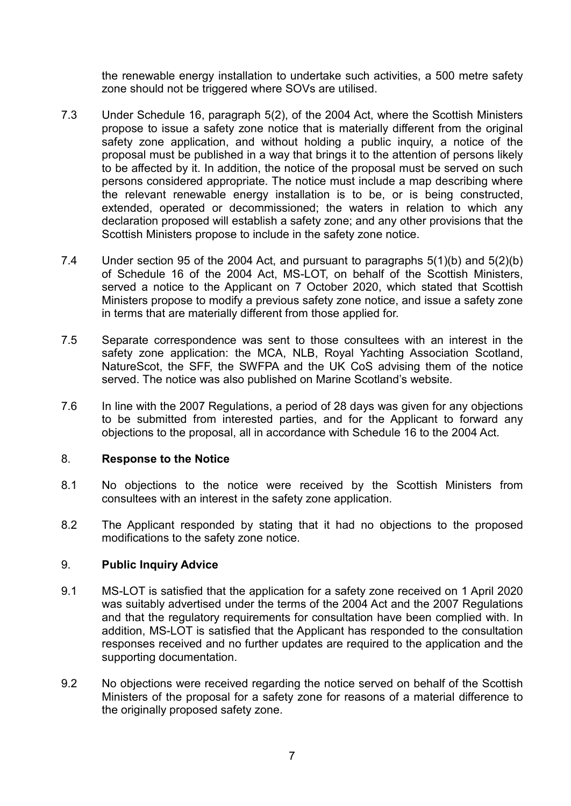the renewable energy installation to undertake such activities, a 500 metre safety zone should not be triggered where SOVs are utilised.

- 7.3 Under Schedule 16, paragraph 5(2), of the 2004 Act, where the Scottish Ministers propose to issue a safety zone notice that is materially different from the original safety zone application, and without holding a public inquiry, a notice of the proposal must be published in a way that brings it to the attention of persons likely to be affected by it. In addition, the notice of the proposal must be served on such persons considered appropriate. The notice must include a map describing where the relevant renewable energy installation is to be, or is being constructed, extended, operated or decommissioned; the waters in relation to which any declaration proposed will establish a safety zone; and any other provisions that the Scottish Ministers propose to include in the safety zone notice.
- 7.4 Under section 95 of the 2004 Act, and pursuant to paragraphs 5(1)(b) and 5(2)(b) of Schedule 16 of the 2004 Act, MS-LOT, on behalf of the Scottish Ministers, served a notice to the Applicant on 7 October 2020, which stated that Scottish Ministers propose to modify a previous safety zone notice, and issue a safety zone in terms that are materially different from those applied for.
- 7.5 Separate correspondence was sent to those consultees with an interest in the safety zone application: the MCA, NLB, Royal Yachting Association Scotland, NatureScot, the SFF, the SWFPA and the UK CoS advising them of the notice served. The notice was also published on Marine Scotland's website.
- 7.6 In line with the 2007 Regulations, a period of 28 days was given for any objections to be submitted from interested parties, and for the Applicant to forward any objections to the proposal, all in accordance with Schedule 16 to the 2004 Act.

### 8. **Response to the Notice**

- 8.1 No objections to the notice were received by the Scottish Ministers from consultees with an interest in the safety zone application.
- 8.2 The Applicant responded by stating that it had no objections to the proposed modifications to the safety zone notice.

# 9. **Public Inquiry Advice**

- 9.1 MS-LOT is satisfied that the application for a safety zone received on 1 April 2020 was suitably advertised under the terms of the 2004 Act and the 2007 Regulations and that the regulatory requirements for consultation have been complied with. In addition, MS-LOT is satisfied that the Applicant has responded to the consultation responses received and no further updates are required to the application and the supporting documentation.
- 9.2 No objections were received regarding the notice served on behalf of the Scottish Ministers of the proposal for a safety zone for reasons of a material difference to the originally proposed safety zone.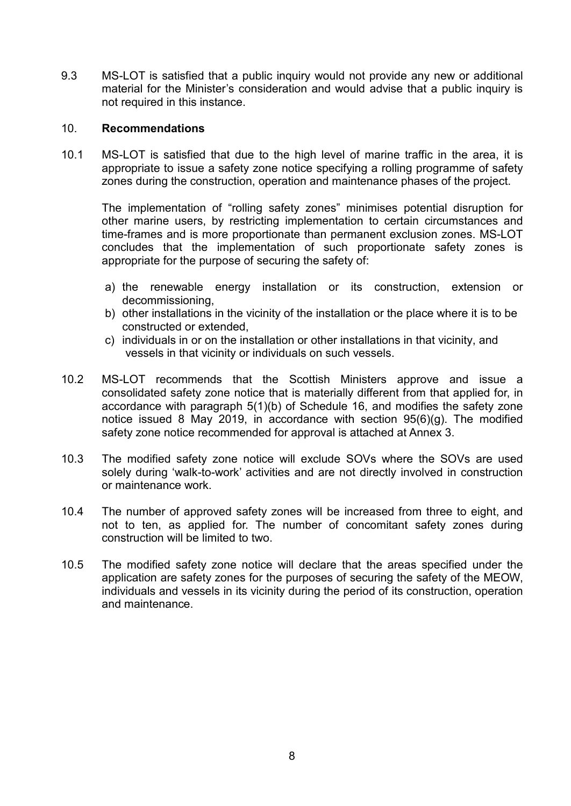9.3 MS-LOT is satisfied that a public inquiry would not provide any new or additional material for the Minister's consideration and would advise that a public inquiry is not required in this instance.

### 10. **Recommendations**

10.1 MS-LOT is satisfied that due to the high level of marine traffic in the area, it is appropriate to issue a safety zone notice specifying a rolling programme of safety zones during the construction, operation and maintenance phases of the project.

The implementation of "rolling safety zones" minimises potential disruption for other marine users, by restricting implementation to certain circumstances and time-frames and is more proportionate than permanent exclusion zones. MS-LOT concludes that the implementation of such proportionate safety zones is appropriate for the purpose of securing the safety of:

- a) the renewable energy installation or its construction, extension or decommissioning,
- b) other installations in the vicinity of the installation or the place where it is to be constructed or extended,
- c) individuals in or on the installation or other installations in that vicinity, and vessels in that vicinity or individuals on such vessels.
- 10.2 MS-LOT recommends that the Scottish Ministers approve and issue a consolidated safety zone notice that is materially different from that applied for, in accordance with paragraph 5(1)(b) of Schedule 16, and modifies the safety zone notice issued 8 May 2019, in accordance with section 95(6)(g). The modified safety zone notice recommended for approval is attached at Annex 3.
- 10.3 The modified safety zone notice will exclude SOVs where the SOVs are used solely during 'walk-to-work' activities and are not directly involved in construction or maintenance work.
- 10.4 The number of approved safety zones will be increased from three to eight, and not to ten, as applied for. The number of concomitant safety zones during construction will be limited to two.
- 10.5 The modified safety zone notice will declare that the areas specified under the application are safety zones for the purposes of securing the safety of the MEOW, individuals and vessels in its vicinity during the period of its construction, operation and maintenance.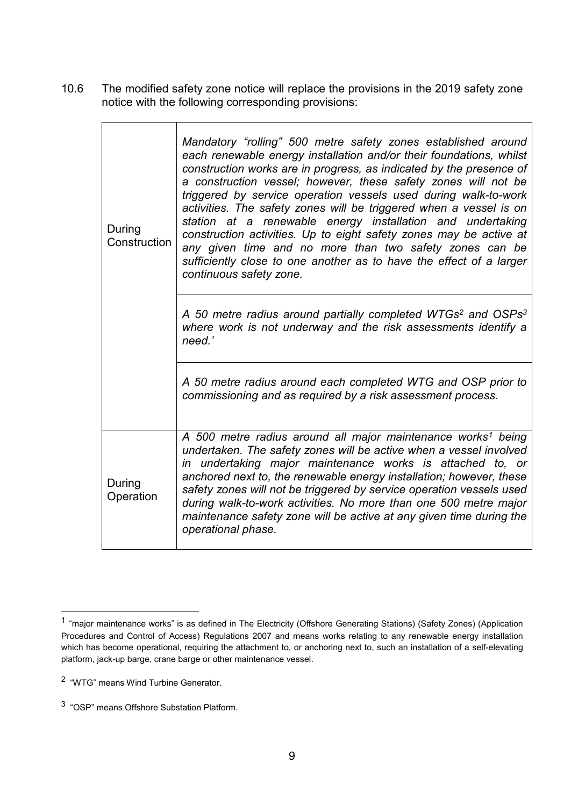10.6 The modified safety zone notice will replace the provisions in the 2019 safety zone notice with the following corresponding provisions:

| During<br>Construction | Mandatory "rolling" 500 metre safety zones established around<br>each renewable energy installation and/or their foundations, whilst<br>construction works are in progress, as indicated by the presence of<br>a construction vessel; however, these safety zones will not be<br>triggered by service operation vessels used during walk-to-work<br>activities. The safety zones will be triggered when a vessel is on<br>station at a renewable energy installation and undertaking<br>construction activities. Up to eight safety zones may be active at<br>any given time and no more than two safety zones can be<br>sufficiently close to one another as to have the effect of a larger<br>continuous safety zone. |
|------------------------|-------------------------------------------------------------------------------------------------------------------------------------------------------------------------------------------------------------------------------------------------------------------------------------------------------------------------------------------------------------------------------------------------------------------------------------------------------------------------------------------------------------------------------------------------------------------------------------------------------------------------------------------------------------------------------------------------------------------------|
|                        | A 50 metre radius around partially completed WTGs <sup>2</sup> and OSPs <sup>3</sup><br>where work is not underway and the risk assessments identify a<br>need.'                                                                                                                                                                                                                                                                                                                                                                                                                                                                                                                                                        |
|                        | A 50 metre radius around each completed WTG and OSP prior to<br>commissioning and as required by a risk assessment process.                                                                                                                                                                                                                                                                                                                                                                                                                                                                                                                                                                                             |
| During<br>Operation    | A 500 metre radius around all major maintenance works <sup>1</sup> being<br>undertaken. The safety zones will be active when a vessel involved<br>in undertaking major maintenance works is attached to, or<br>anchored next to, the renewable energy installation; however, these<br>safety zones will not be triggered by service operation vessels used<br>during walk-to-work activities. No more than one 500 metre major<br>maintenance safety zone will be active at any given time during the<br>operational phase.                                                                                                                                                                                             |

<span id="page-8-0"></span> $1$  "major maintenance works" is as defined in The Electricity (Offshore Generating Stations) (Safety Zones) (Application Procedures and Control of Access) Regulations 2007 and means works relating to any renewable energy installation which has become operational, requiring the attachment to, or anchoring next to, such an installation of a self-elevating platform, jack-up barge, crane barge or other maintenance vessel.

<sup>2 &</sup>quot;WTG" means Wind Turbine Generator.

<sup>3 &</sup>quot;OSP" means Offshore Substation Platform.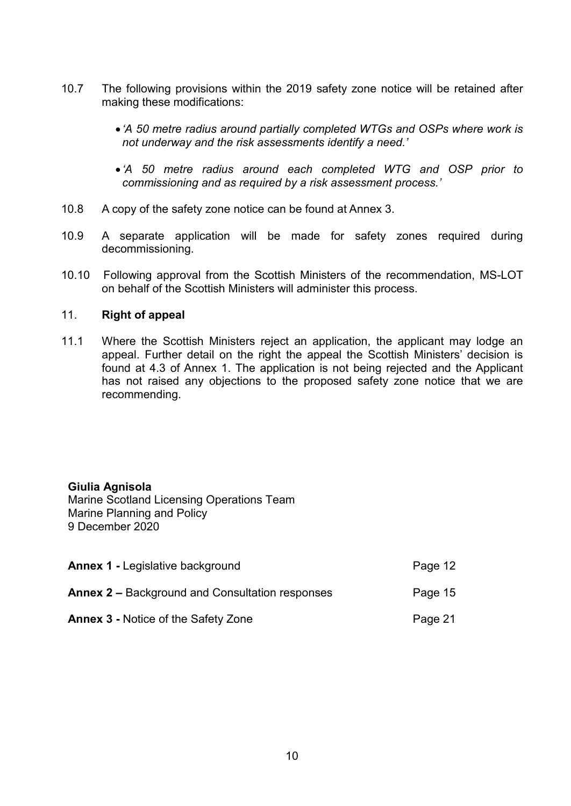- 10.7 The following provisions within the 2019 safety zone notice will be retained after making these modifications:
	- *'A 50 metre radius around partially completed WTGs and OSPs where work is not underway and the risk assessments identify a need.'*
	- *'A 50 metre radius around each completed WTG and OSP prior to commissioning and as required by a risk assessment process.'*
- 10.8 A copy of the safety zone notice can be found at Annex 3.
- 10.9 A separate application will be made for safety zones required during decommissioning.
- 10.10 Following approval from the Scottish Ministers of the recommendation, MS-LOT on behalf of the Scottish Ministers will administer this process.

### 11. **Right of appeal**

11.1 Where the Scottish Ministers reject an application, the applicant may lodge an appeal. Further detail on the right the appeal the Scottish Ministers' decision is found at 4.3 of Annex 1. The application is not being rejected and the Applicant has not raised any objections to the proposed safety zone notice that we are recommending.

### **Giulia Agnisola**

Marine Scotland Licensing Operations Team Marine Planning and Policy 9 December 2020

| <b>Annex 1 - Legislative background</b>                | Page 12 |
|--------------------------------------------------------|---------|
| <b>Annex 2 – Background and Consultation responses</b> | Page 15 |
| <b>Annex 3 - Notice of the Safety Zone</b>             | Page 21 |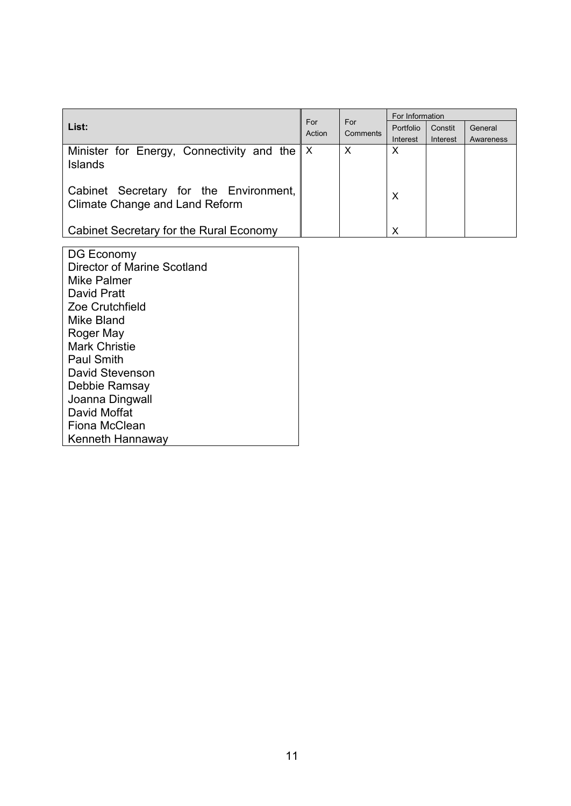|                                                                                 |  |                                  | For Information |          |           |
|---------------------------------------------------------------------------------|--|----------------------------------|-----------------|----------|-----------|
| List:                                                                           |  | For<br>For<br>Action<br>Comments | Portfolio       | Constit  | General   |
|                                                                                 |  |                                  | Interest        | Interest | Awareness |
| Minister for Energy, Connectivity and the   X<br><b>Islands</b>                 |  | X                                | X               |          |           |
| Cabinet Secretary for the Environment,<br><b>Climate Change and Land Reform</b> |  |                                  | Х               |          |           |
| Cabinet Secretary for the Rural Economy                                         |  |                                  | х               |          |           |

DG Economy Director of Marine Scotland Mike Palmer David Pratt Zoe Crutchfield Mike Bland Roger May Mark Christie Paul Smith David Stevenson Debbie Ramsay Joanna Dingwall David Moffat Fiona McClean Kenneth Hannaway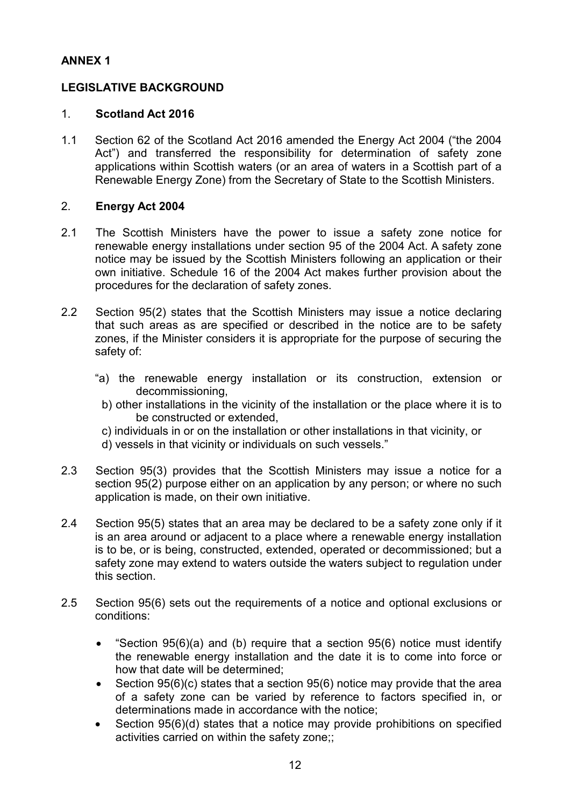# **ANNEX 1**

# **LEGISLATIVE BACKGROUND**

### 1. **Scotland Act 2016**

1.1 Section 62 of the Scotland Act 2016 amended the Energy Act 2004 ("the 2004 Act") and transferred the responsibility for determination of safety zone applications within Scottish waters (or an area of waters in a Scottish part of a Renewable Energy Zone) from the Secretary of State to the Scottish Ministers.

### 2. **Energy Act 2004**

- 2.1 The Scottish Ministers have the power to issue a safety zone notice for renewable energy installations under section 95 of the 2004 Act. A safety zone notice may be issued by the Scottish Ministers following an application or their own initiative. Schedule 16 of the 2004 Act makes further provision about the procedures for the declaration of safety zones.
- 2.2 Section 95(2) states that the Scottish Ministers may issue a notice declaring that such areas as are specified or described in the notice are to be safety zones, if the Minister considers it is appropriate for the purpose of securing the safety of:
	- "a) the renewable energy installation or its construction, extension or decommissioning,
		- b) other installations in the vicinity of the installation or the place where it is to be constructed or extended,
		- c) individuals in or on the installation or other installations in that vicinity, or
		- d) vessels in that vicinity or individuals on such vessels."
- 2.3 Section 95(3) provides that the Scottish Ministers may issue a notice for a section 95(2) purpose either on an application by any person; or where no such application is made, on their own initiative.
- 2.4 Section 95(5) states that an area may be declared to be a safety zone only if it is an area around or adjacent to a place where a renewable energy installation is to be, or is being, constructed, extended, operated or decommissioned; but a safety zone may extend to waters outside the waters subject to regulation under this section.
- 2.5 Section 95(6) sets out the requirements of a notice and optional exclusions or conditions:
	- "Section  $95(6)(a)$  and (b) require that a section  $95(6)$  notice must identify the renewable energy installation and the date it is to come into force or how that date will be determined;
	- Section 95(6)(c) states that a section 95(6) notice may provide that the area of a safety zone can be varied by reference to factors specified in, or determinations made in accordance with the notice;
	- Section 95(6)(d) states that a notice may provide prohibitions on specified activities carried on within the safety zone;;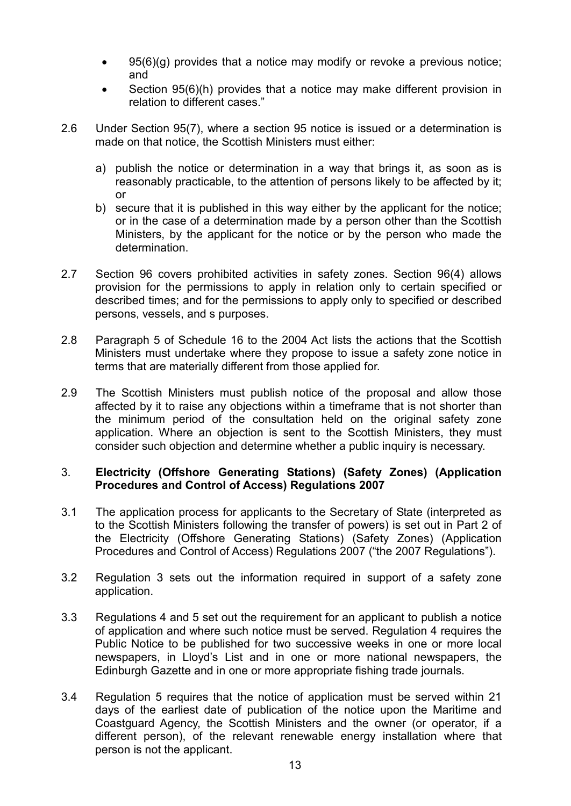- 95(6)(g) provides that a notice may modify or revoke a previous notice; and
- Section 95(6)(h) provides that a notice may make different provision in relation to different cases."
- 2.6 Under Section 95(7), where a section 95 notice is issued or a determination is made on that notice, the Scottish Ministers must either:
	- a) publish the notice or determination in a way that brings it, as soon as is reasonably practicable, to the attention of persons likely to be affected by it; or
	- b) secure that it is published in this way either by the applicant for the notice; or in the case of a determination made by a person other than the Scottish Ministers, by the applicant for the notice or by the person who made the determination.
- 2.7 Section 96 covers prohibited activities in safety zones. Section 96(4) allows provision for the permissions to apply in relation only to certain specified or described times; and for the permissions to apply only to specified or described persons, vessels, and s purposes.
- 2.8 Paragraph 5 of Schedule 16 to the 2004 Act lists the actions that the Scottish Ministers must undertake where they propose to issue a safety zone notice in terms that are materially different from those applied for.
- 2.9 The Scottish Ministers must publish notice of the proposal and allow those affected by it to raise any objections within a timeframe that is not shorter than the minimum period of the consultation held on the original safety zone application. Where an objection is sent to the Scottish Ministers, they must consider such objection and determine whether a public inquiry is necessary.

### 3. **Electricity (Offshore Generating Stations) (Safety Zones) (Application Procedures and Control of Access) Regulations 2007**

- 3.1 The application process for applicants to the Secretary of State (interpreted as to the Scottish Ministers following the transfer of powers) is set out in Part 2 of the Electricity (Offshore Generating Stations) (Safety Zones) (Application Procedures and Control of Access) Regulations 2007 ("the 2007 Regulations").
- 3.2 Regulation 3 sets out the information required in support of a safety zone application.
- 3.3 Regulations 4 and 5 set out the requirement for an applicant to publish a notice of application and where such notice must be served. Regulation 4 requires the Public Notice to be published for two successive weeks in one or more local newspapers, in Lloyd's List and in one or more national newspapers, the Edinburgh Gazette and in one or more appropriate fishing trade journals.
- 3.4 Regulation 5 requires that the notice of application must be served within 21 days of the earliest date of publication of the notice upon the Maritime and Coastguard Agency, the Scottish Ministers and the owner (or operator, if a different person), of the relevant renewable energy installation where that person is not the applicant.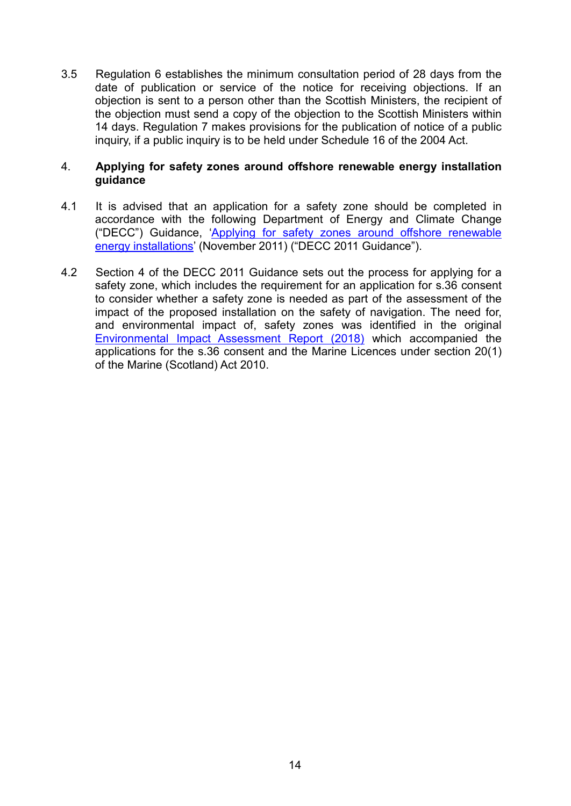3.5 Regulation 6 establishes the minimum consultation period of 28 days from the date of publication or service of the notice for receiving objections. If an objection is sent to a person other than the Scottish Ministers, the recipient of the objection must send a copy of the objection to the Scottish Ministers within 14 days. Regulation 7 makes provisions for the publication of notice of a public inquiry, if a public inquiry is to be held under Schedule 16 of the 2004 Act.

### 4. **Applying for safety zones around offshore renewable energy installation guidance**

- 4.1 It is advised that an application for a safety zone should be completed in accordance with the following Department of Energy and Climate Change ("DECC") Guidance, 'Applying for safety zones [around offshore renewable](https://itportal.beis.gov.uk/EIP/pages/files/file40651.pdf)  [energy installations'](https://itportal.beis.gov.uk/EIP/pages/files/file40651.pdf) (November 2011) ("DECC 2011 Guidance").
- 4.2 Section 4 of the DECC 2011 Guidance sets out the process for applying for a safety zone, which includes the requirement for an application for s.36 consent to consider whether a safety zone is needed as part of the assessment of the impact of the proposed installation on the safety of navigation. The need for, and environmental impact of, safety zones was identified in the original [Environmental Impact Assessment Report \(2018\)](http://marine.gov.scot/data/neart-na-gaoithe-offshore-windfarm-revised-design-eia-report-volume-1-main-text) which accompanied the applications for the s.36 consent and the Marine Licences under section 20(1) of the Marine (Scotland) Act 2010.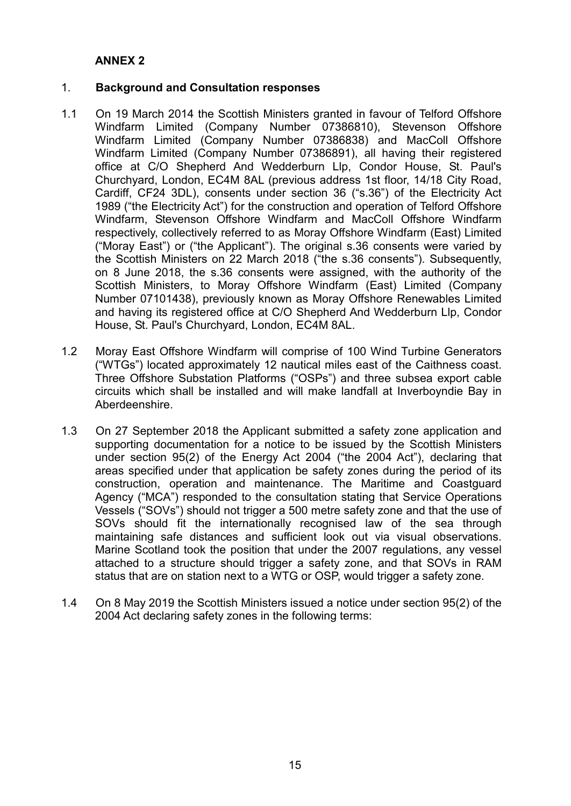### **ANNEX 2**

### 1. **Background and Consultation responses**

- 1.1 On 19 March 2014 the Scottish Ministers granted in favour of Telford Offshore Windfarm Limited (Company Number 07386810), Stevenson Offshore Windfarm Limited (Company Number 07386838) and MacColl Offshore Windfarm Limited (Company Number 07386891), all having their registered office at C/O Shepherd And Wedderburn Llp, Condor House, St. Paul's Churchyard, London, EC4M 8AL (previous address 1st floor, 14/18 City Road, Cardiff, CF24 3DL), consents under section 36 ("s.36") of the Electricity Act 1989 ("the Electricity Act") for the construction and operation of Telford Offshore Windfarm, Stevenson Offshore Windfarm and MacColl Offshore Windfarm respectively, collectively referred to as Moray Offshore Windfarm (East) Limited ("Moray East") or ("the Applicant"). The original s.36 consents were varied by the Scottish Ministers on 22 March 2018 ("the s.36 consents"). Subsequently, on 8 June 2018, the s.36 consents were assigned, with the authority of the Scottish Ministers, to Moray Offshore Windfarm (East) Limited (Company Number 07101438), previously known as Moray Offshore Renewables Limited and having its registered office at C/O Shepherd And Wedderburn Llp, Condor House, St. Paul's Churchyard, London, EC4M 8AL.
- 1.2 Moray East Offshore Windfarm will comprise of 100 Wind Turbine Generators ("WTGs") located approximately 12 nautical miles east of the Caithness coast. Three Offshore Substation Platforms ("OSPs") and three subsea export cable circuits which shall be installed and will make landfall at Inverboyndie Bay in Aberdeenshire.
- 1.3 On 27 September 2018 the Applicant submitted a safety zone application and supporting documentation for a notice to be issued by the Scottish Ministers under section 95(2) of the Energy Act 2004 ("the 2004 Act"), declaring that areas specified under that application be safety zones during the period of its construction, operation and maintenance. The Maritime and Coastguard Agency ("MCA") responded to the consultation stating that Service Operations Vessels ("SOVs") should not trigger a 500 metre safety zone and that the use of SOVs should fit the internationally recognised law of the sea through maintaining safe distances and sufficient look out via visual observations. Marine Scotland took the position that under the 2007 regulations, any vessel attached to a structure should trigger a safety zone, and that SOVs in RAM status that are on station next to a WTG or OSP, would trigger a safety zone.
- 1.4 On 8 May 2019 the Scottish Ministers issued a notice under section 95(2) of the 2004 Act declaring safety zones in the following terms: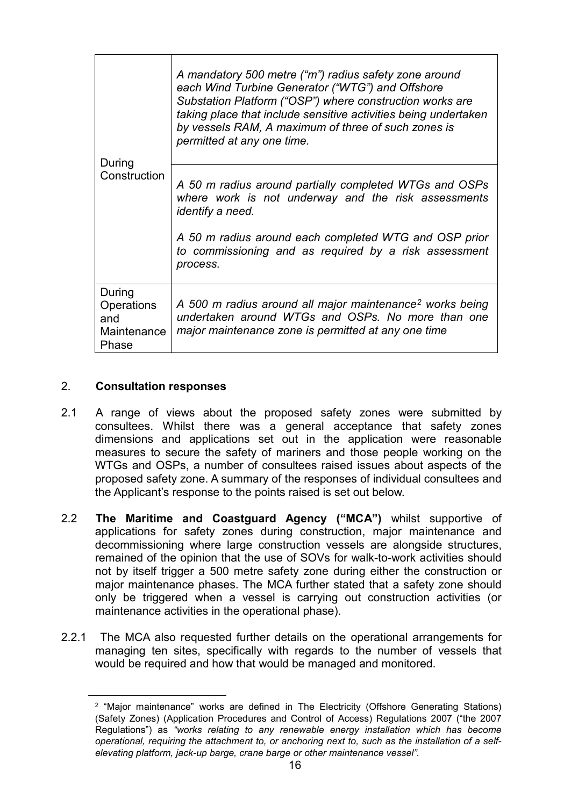| During                                              | A mandatory 500 metre ("m") radius safety zone around<br>each Wind Turbine Generator ("WTG") and Offshore<br>Substation Platform ("OSP") where construction works are<br>taking place that include sensitive activities being undertaken<br>by vessels RAM, A maximum of three of such zones is<br>permitted at any one time. |  |
|-----------------------------------------------------|-------------------------------------------------------------------------------------------------------------------------------------------------------------------------------------------------------------------------------------------------------------------------------------------------------------------------------|--|
| Construction                                        | A 50 m radius around partially completed WTGs and OSPs<br>where work is not underway and the risk assessments<br>identify a need.                                                                                                                                                                                             |  |
|                                                     | A 50 m radius around each completed WTG and OSP prior<br>to commissioning and as required by a risk assessment<br>process.                                                                                                                                                                                                    |  |
| During<br>Operations<br>and<br>Maintenance<br>Phase | A 500 m radius around all major maintenance <sup>2</sup> works being<br>undertaken around WTGs and OSPs. No more than one<br>major maintenance zone is permitted at any one time                                                                                                                                              |  |

### 2. **Consultation responses**

- 2.1 A range of views about the proposed safety zones were submitted by consultees. Whilst there was a general acceptance that safety zones dimensions and applications set out in the application were reasonable measures to secure the safety of mariners and those people working on the WTGs and OSPs, a number of consultees raised issues about aspects of the proposed safety zone. A summary of the responses of individual consultees and the Applicant's response to the points raised is set out below.
- 2.2 **The Maritime and Coastguard Agency ("MCA")** whilst supportive of applications for safety zones during construction, major maintenance and decommissioning where large construction vessels are alongside structures, remained of the opinion that the use of SOVs for walk-to-work activities should not by itself trigger a 500 metre safety zone during either the construction or major maintenance phases. The MCA further stated that a safety zone should only be triggered when a vessel is carrying out construction activities (or maintenance activities in the operational phase).
- <span id="page-15-0"></span>2.2.1 The MCA also requested further details on the operational arrangements for managing ten sites, specifically with regards to the number of vessels that would be required and how that would be managed and monitored.

<sup>&</sup>lt;sup>2</sup> "Major maintenance" works are defined in The Electricity (Offshore Generating Stations) (Safety Zones) (Application Procedures and Control of Access) Regulations 2007 ("the 2007 Regulations") as *"works relating to any renewable energy installation which has become operational, requiring the attachment to, or anchoring next to, such as the installation of a selfelevating platform, jack-up barge, crane barge or other maintenance vessel".*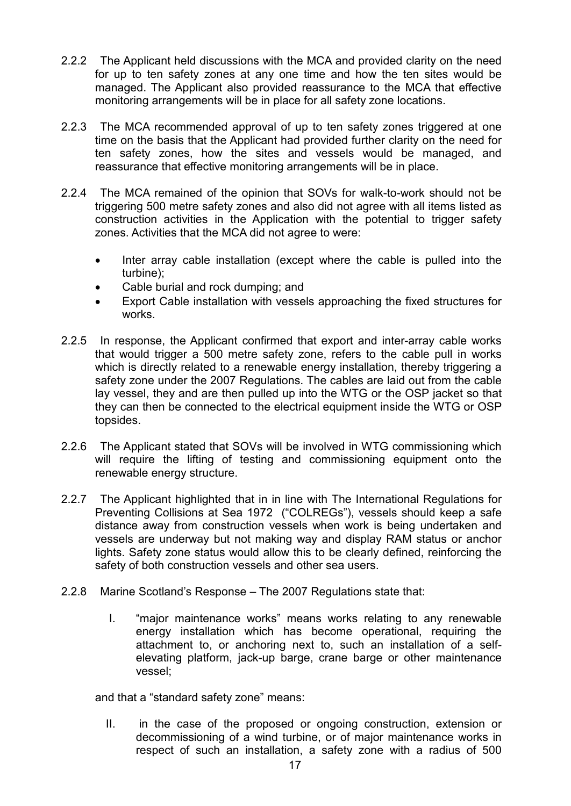- 2.2.2 The Applicant held discussions with the MCA and provided clarity on the need for up to ten safety zones at any one time and how the ten sites would be managed. The Applicant also provided reassurance to the MCA that effective monitoring arrangements will be in place for all safety zone locations.
- 2.2.3 The MCA recommended approval of up to ten safety zones triggered at one time on the basis that the Applicant had provided further clarity on the need for ten safety zones, how the sites and vessels would be managed, and reassurance that effective monitoring arrangements will be in place.
- 2.2.4 The MCA remained of the opinion that SOVs for walk-to-work should not be triggering 500 metre safety zones and also did not agree with all items listed as construction activities in the Application with the potential to trigger safety zones. Activities that the MCA did not agree to were:
	- Inter array cable installation (except where the cable is pulled into the turbine);
	- Cable burial and rock dumping; and
	- Export Cable installation with vessels approaching the fixed structures for works.
- 2.2.5 In response, the Applicant confirmed that export and inter-array cable works that would trigger a 500 metre safety zone, refers to the cable pull in works which is directly related to a renewable energy installation, thereby triggering a safety zone under the 2007 Regulations. The cables are laid out from the cable lay vessel, they and are then pulled up into the WTG or the OSP jacket so that they can then be connected to the electrical equipment inside the WTG or OSP topsides.
- 2.2.6 The Applicant stated that SOVs will be involved in WTG commissioning which will require the lifting of testing and commissioning equipment onto the renewable energy structure.
- 2.2.7 The Applicant highlighted that in in line with The International Regulations for Preventing Collisions at Sea 1972 ("COLREGs"), vessels should keep a safe distance away from construction vessels when work is being undertaken and vessels are underway but not making way and display RAM status or anchor lights. Safety zone status would allow this to be clearly defined, reinforcing the safety of both construction vessels and other sea users.
- 2.2.8 Marine Scotland's Response The 2007 Regulations state that:
	- I. "major maintenance works" means works relating to any renewable energy installation which has become operational, requiring the attachment to, or anchoring next to, such an installation of a selfelevating platform, jack-up barge, crane barge or other maintenance vessel;

and that a "standard safety zone" means:

II. in the case of the proposed or ongoing construction, extension or decommissioning of a wind turbine, or of major maintenance works in respect of such an installation, a safety zone with a radius of 500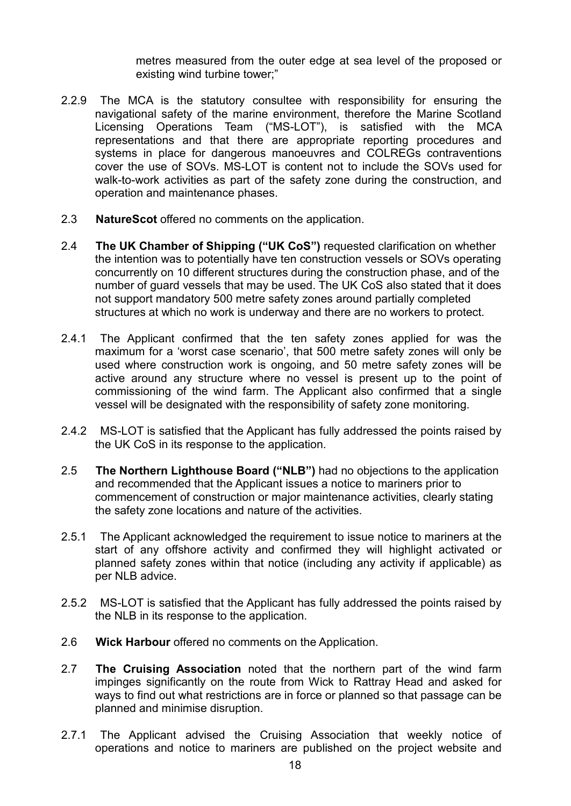metres measured from the outer edge at sea level of the proposed or existing wind turbine tower;"

- 2.2.9 The MCA is the statutory consultee with responsibility for ensuring the navigational safety of the marine environment, therefore the Marine Scotland Licensing Operations Team ("MS-LOT"), is satisfied with the MCA representations and that there are appropriate reporting procedures and systems in place for dangerous manoeuvres and COLREGs contraventions cover the use of SOVs. MS-LOT is content not to include the SOVs used for walk-to-work activities as part of the safety zone during the construction, and operation and maintenance phases.
- 2.3 **NatureScot** offered no comments on the application.
- 2.4 **The UK Chamber of Shipping ("UK CoS")** requested clarification on whether the intention was to potentially have ten construction vessels or SOVs operating concurrently on 10 different structures during the construction phase, and of the number of guard vessels that may be used. The UK CoS also stated that it does not support mandatory 500 metre safety zones around partially completed structures at which no work is underway and there are no workers to protect.
- 2.4.1 The Applicant confirmed that the ten safety zones applied for was the maximum for a 'worst case scenario', that 500 metre safety zones will only be used where construction work is ongoing, and 50 metre safety zones will be active around any structure where no vessel is present up to the point of commissioning of the wind farm. The Applicant also confirmed that a single vessel will be designated with the responsibility of safety zone monitoring.
- 2.4.2 MS-LOT is satisfied that the Applicant has fully addressed the points raised by the UK CoS in its response to the application.
- 2.5 **The Northern Lighthouse Board ("NLB")** had no objections to the application and recommended that the Applicant issues a notice to mariners prior to commencement of construction or major maintenance activities, clearly stating the safety zone locations and nature of the activities.
- 2.5.1 The Applicant acknowledged the requirement to issue notice to mariners at the start of any offshore activity and confirmed they will highlight activated or planned safety zones within that notice (including any activity if applicable) as per NLB advice.
- 2.5.2 MS-LOT is satisfied that the Applicant has fully addressed the points raised by the NLB in its response to the application.
- 2.6 **Wick Harbour** offered no comments on the Application.
- 2.7 **The Cruising Association** noted that the northern part of the wind farm impinges significantly on the route from Wick to Rattray Head and asked for ways to find out what restrictions are in force or planned so that passage can be planned and minimise disruption.
- 2.7.1 The Applicant advised the Cruising Association that weekly notice of operations and notice to mariners are published on the project website and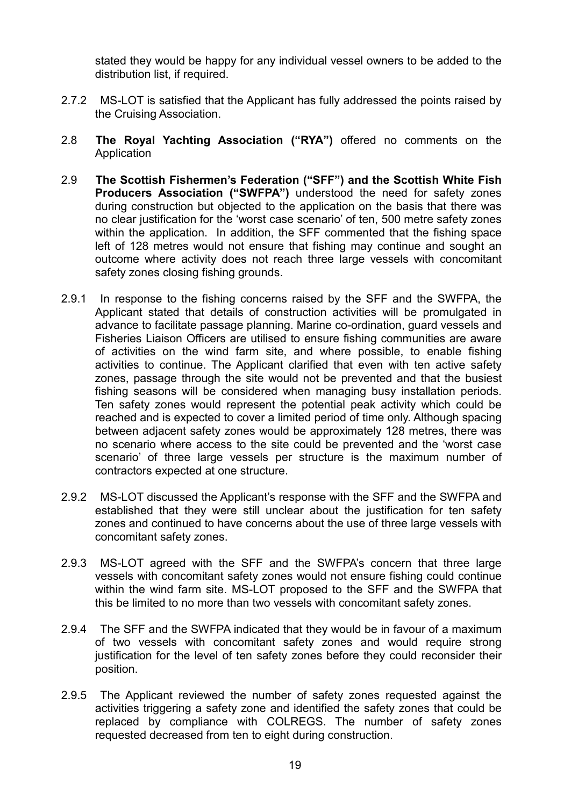stated they would be happy for any individual vessel owners to be added to the distribution list, if required.

- 2.7.2 MS-LOT is satisfied that the Applicant has fully addressed the points raised by the Cruising Association.
- 2.8 **The Royal Yachting Association ("RYA")** offered no comments on the **Application**
- 2.9 **The Scottish Fishermen's Federation ("SFF") and the Scottish White Fish Producers Association ("SWFPA")** understood the need for safety zones during construction but objected to the application on the basis that there was no clear justification for the 'worst case scenario' of ten, 500 metre safety zones within the application. In addition, the SFF commented that the fishing space left of 128 metres would not ensure that fishing may continue and sought an outcome where activity does not reach three large vessels with concomitant safety zones closing fishing grounds.
- 2.9.1 In response to the fishing concerns raised by the SFF and the SWFPA, the Applicant stated that details of construction activities will be promulgated in advance to facilitate passage planning. Marine co-ordination, guard vessels and Fisheries Liaison Officers are utilised to ensure fishing communities are aware of activities on the wind farm site, and where possible, to enable fishing activities to continue. The Applicant clarified that even with ten active safety zones, passage through the site would not be prevented and that the busiest fishing seasons will be considered when managing busy installation periods. Ten safety zones would represent the potential peak activity which could be reached and is expected to cover a limited period of time only. Although spacing between adjacent safety zones would be approximately 128 metres, there was no scenario where access to the site could be prevented and the 'worst case scenario' of three large vessels per structure is the maximum number of contractors expected at one structure.
- 2.9.2 MS-LOT discussed the Applicant's response with the SFF and the SWFPA and established that they were still unclear about the justification for ten safety zones and continued to have concerns about the use of three large vessels with concomitant safety zones.
- 2.9.3 MS-LOT agreed with the SFF and the SWFPA's concern that three large vessels with concomitant safety zones would not ensure fishing could continue within the wind farm site. MS-LOT proposed to the SFF and the SWFPA that this be limited to no more than two vessels with concomitant safety zones.
- 2.9.4 The SFF and the SWFPA indicated that they would be in favour of a maximum of two vessels with concomitant safety zones and would require strong justification for the level of ten safety zones before they could reconsider their position.
- 2.9.5 The Applicant reviewed the number of safety zones requested against the activities triggering a safety zone and identified the safety zones that could be replaced by compliance with COLREGS. The number of safety zones requested decreased from ten to eight during construction.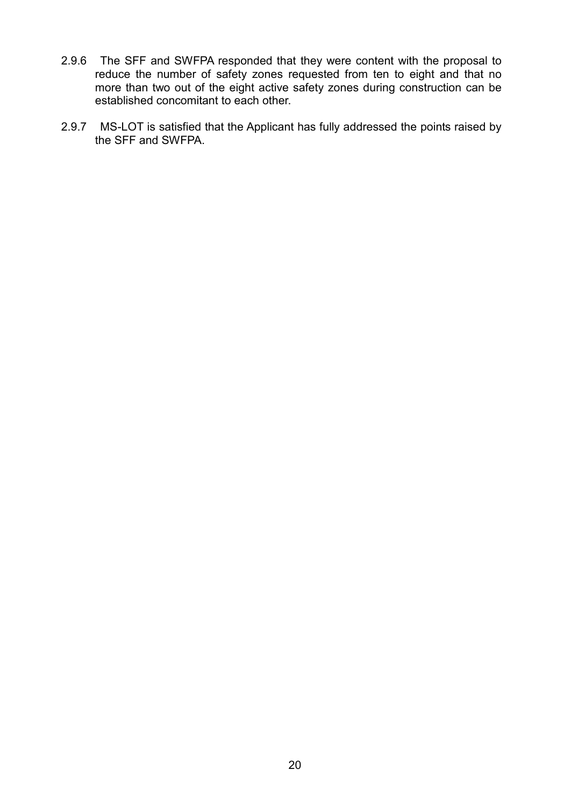- 2.9.6 The SFF and SWFPA responded that they were content with the proposal to reduce the number of safety zones requested from ten to eight and that no more than two out of the eight active safety zones during construction can be established concomitant to each other.
- 2.9.7 MS-LOT is satisfied that the Applicant has fully addressed the points raised by the SFF and SWFPA.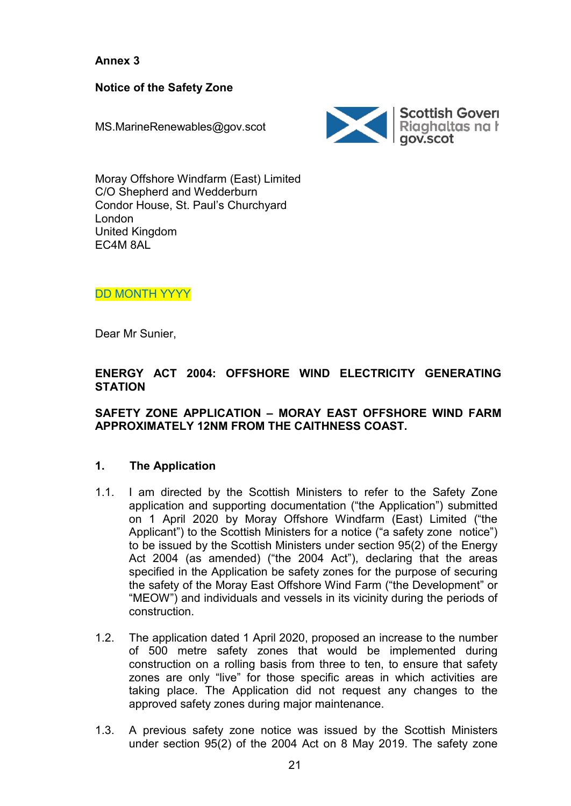**Annex 3**

**Notice of the Safety Zone**

MS.MarineRenewables@gov.scot



Moray Offshore Windfarm (East) Limited C/O Shepherd and Wedderburn Condor House, St. Paul's Churchyard London United Kingdom EC4M 8AL

DD MONTH YYYY

Dear Mr Sunier,

## **ENERGY ACT 2004: OFFSHORE WIND ELECTRICITY GENERATING STATION**

### **SAFETY ZONE APPLICATION – MORAY EAST OFFSHORE WIND FARM APPROXIMATELY 12NM FROM THE CAITHNESS COAST.**

# **1. The Application**

- 1.1. I am directed by the Scottish Ministers to refer to the Safety Zone application and supporting documentation ("the Application") submitted on 1 April 2020 by Moray Offshore Windfarm (East) Limited ("the Applicant") to the Scottish Ministers for a notice ("a safety zone notice") to be issued by the Scottish Ministers under section 95(2) of the Energy Act 2004 (as amended) ("the 2004 Act"), declaring that the areas specified in the Application be safety zones for the purpose of securing the safety of the Moray East Offshore Wind Farm ("the Development" or "MEOW") and individuals and vessels in its vicinity during the periods of construction.
- 1.2. The application dated 1 April 2020, proposed an increase to the number of 500 metre safety zones that would be implemented during construction on a rolling basis from three to ten, to ensure that safety zones are only "live" for those specific areas in which activities are taking place. The Application did not request any changes to the approved safety zones during major maintenance.
- 1.3. A previous safety zone notice was issued by the Scottish Ministers under section 95(2) of the 2004 Act on 8 May 2019. The safety zone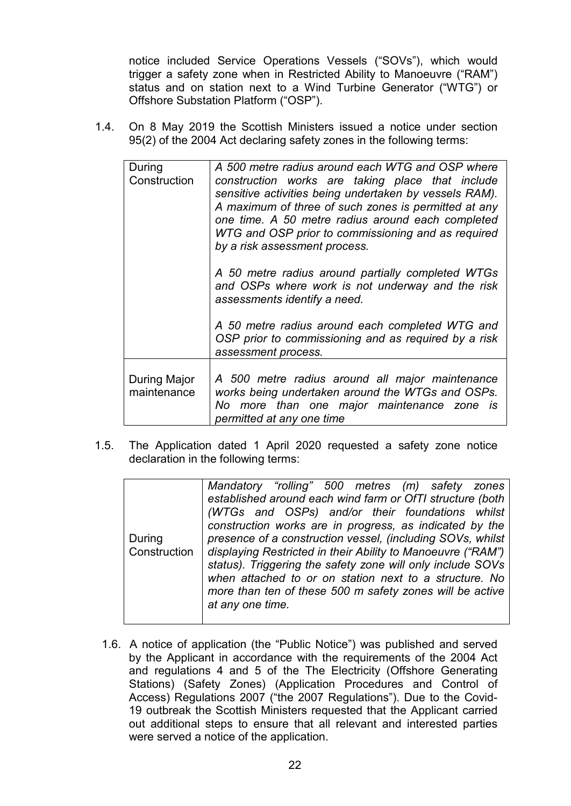notice included Service Operations Vessels ("SOVs"), which would trigger a safety zone when in Restricted Ability to Manoeuvre ("RAM") status and on station next to a Wind Turbine Generator ("WTG") or Offshore Substation Platform ("OSP").

1.4. On 8 May 2019 the Scottish Ministers issued a notice under section 95(2) of the 2004 Act declaring safety zones in the following terms:

| During<br>Construction | A 500 metre radius around each WTG and OSP where<br>construction works are taking place that include<br>sensitive activities being undertaken by vessels RAM).<br>A maximum of three of such zones is permitted at any<br>one time. A 50 metre radius around each completed<br>WTG and OSP prior to commissioning and as required<br>by a risk assessment process. |
|------------------------|--------------------------------------------------------------------------------------------------------------------------------------------------------------------------------------------------------------------------------------------------------------------------------------------------------------------------------------------------------------------|
|                        | A 50 metre radius around partially completed WTGs<br>and OSPs where work is not underway and the risk<br>assessments identify a need.                                                                                                                                                                                                                              |
|                        | A 50 metre radius around each completed WTG and<br>OSP prior to commissioning and as required by a risk<br>assessment process.                                                                                                                                                                                                                                     |
| During Major           | A 500 metre radius around all major maintenance                                                                                                                                                                                                                                                                                                                    |
| maintenance            | works being undertaken around the WTGs and OSPs.<br>No more than one major maintenance zone is<br>permitted at any one time                                                                                                                                                                                                                                        |

1.5. The Application dated 1 April 2020 requested a safety zone notice declaration in the following terms:

|        | Mandatory "rolling" 500 metres (m) safety zones                            |
|--------|----------------------------------------------------------------------------|
|        | established around each wind farm or OfTI structure (both                  |
|        | (WTGs and OSPs) and/or their foundations whilst                            |
|        | construction works are in progress, as indicated by the                    |
| During | presence of a construction vessel, (including SOVs, whilst                 |
|        | Construction   displaying Restricted in their Ability to Manoeuvre ("RAM") |
|        | status). Triggering the safety zone will only include SOVs                 |
|        | when attached to or on station next to a structure. No                     |
|        | more than ten of these 500 m safety zones will be active                   |
|        | at any one time.                                                           |
|        |                                                                            |

1.6. A notice of application (the "Public Notice") was published and served by the Applicant in accordance with the requirements of the 2004 Act and regulations 4 and 5 of the The Electricity (Offshore Generating Stations) (Safety Zones) (Application Procedures and Control of Access) Regulations 2007 ("the 2007 Regulations"). Due to the Covid-19 outbreak the Scottish Ministers requested that the Applicant carried out additional steps to ensure that all relevant and interested parties were served a notice of the application.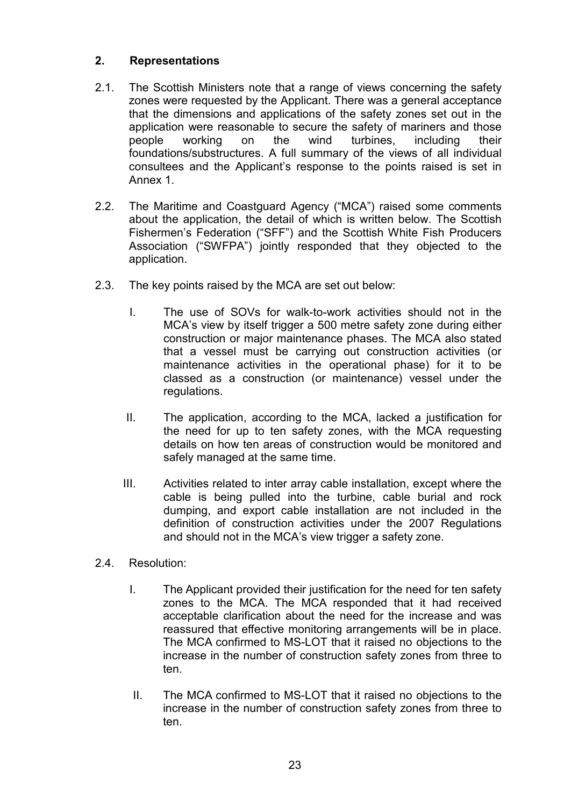# **2. Representations**

- 2.1. The Scottish Ministers note that a range of views concerning the safety zones were requested by the Applicant. There was a general acceptance that the dimensions and applications of the safety zones set out in the application were reasonable to secure the safety of mariners and those people working on the wind turbines, including their foundations/substructures. A full summary of the views of all individual consultees and the Applicant's response to the points raised is set in Annex 1.
- 2.2. The Maritime and Coastguard Agency ("MCA") raised some comments about the application, the detail of which is written below. The Scottish Fishermen's Federation ("SFF") and the Scottish White Fish Producers Association ("SWFPA") jointly responded that they objected to the application.
- 2.3. The key points raised by the MCA are set out below:
	- I. The use of SOVs for walk-to-work activities should not in the MCA's view by itself trigger a 500 metre safety zone during either construction or major maintenance phases. The MCA also stated that a vessel must be carrying out construction activities (or maintenance activities in the operational phase) for it to be classed as a construction (or maintenance) vessel under the regulations.
	- II. The application, according to the MCA, lacked a justification for the need for up to ten safety zones, with the MCA requesting details on how ten areas of construction would be monitored and safely managed at the same time.
	- III. Activities related to inter array cable installation, except where the cable is being pulled into the turbine, cable burial and rock dumping, and export cable installation are not included in the definition of construction activities under the 2007 Regulations and should not in the MCA's view trigger a safety zone.
- 2.4. Resolution:
	- I. The Applicant provided their justification for the need for ten safety zones to the MCA. The MCA responded that it had received acceptable clarification about the need for the increase and was reassured that effective monitoring arrangements will be in place. The MCA confirmed to MS-LOT that it raised no objections to the increase in the number of construction safety zones from three to ten.
	- II. The MCA confirmed to MS-LOT that it raised no objections to the increase in the number of construction safety zones from three to ten.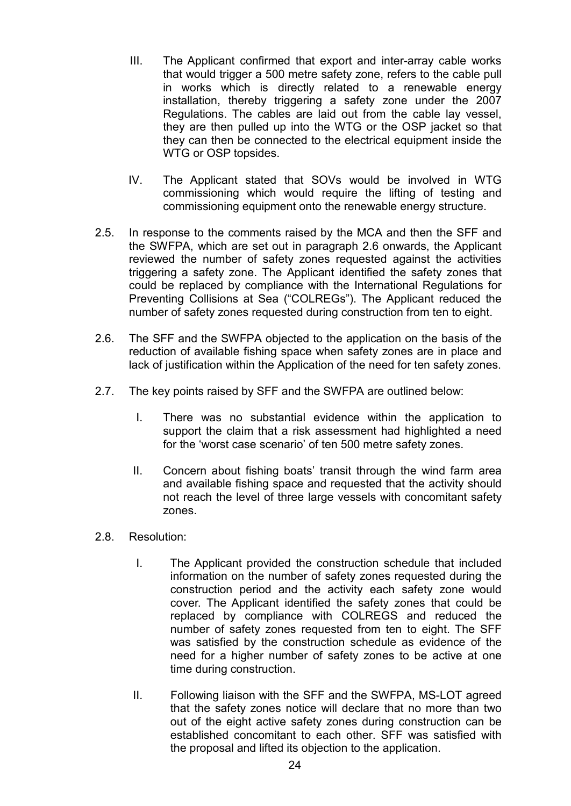- III. The Applicant confirmed that export and inter-array cable works that would trigger a 500 metre safety zone, refers to the cable pull in works which is directly related to a renewable energy installation, thereby triggering a safety zone under the 2007 Regulations. The cables are laid out from the cable lay vessel, they are then pulled up into the WTG or the OSP jacket so that they can then be connected to the electrical equipment inside the WTG or OSP topsides.
- IV. The Applicant stated that SOVs would be involved in WTG commissioning which would require the lifting of testing and commissioning equipment onto the renewable energy structure.
- 2.5. In response to the comments raised by the MCA and then the SFF and the SWFPA, which are set out in paragraph 2.6 onwards, the Applicant reviewed the number of safety zones requested against the activities triggering a safety zone. The Applicant identified the safety zones that could be replaced by compliance with the International Regulations for Preventing Collisions at Sea ("COLREGs"). The Applicant reduced the number of safety zones requested during construction from ten to eight.
- 2.6. The SFF and the SWFPA objected to the application on the basis of the reduction of available fishing space when safety zones are in place and lack of justification within the Application of the need for ten safety zones.
- 2.7. The key points raised by SFF and the SWFPA are outlined below:
	- I. There was no substantial evidence within the application to support the claim that a risk assessment had highlighted a need for the 'worst case scenario' of ten 500 metre safety zones.
	- II. Concern about fishing boats' transit through the wind farm area and available fishing space and requested that the activity should not reach the level of three large vessels with concomitant safety zones.
- 2.8. Resolution:
	- I. The Applicant provided the construction schedule that included information on the number of safety zones requested during the construction period and the activity each safety zone would cover. The Applicant identified the safety zones that could be replaced by compliance with COLREGS and reduced the number of safety zones requested from ten to eight. The SFF was satisfied by the construction schedule as evidence of the need for a higher number of safety zones to be active at one time during construction.
	- II. Following liaison with the SFF and the SWFPA, MS-LOT agreed that the safety zones notice will declare that no more than two out of the eight active safety zones during construction can be established concomitant to each other. SFF was satisfied with the proposal and lifted its objection to the application.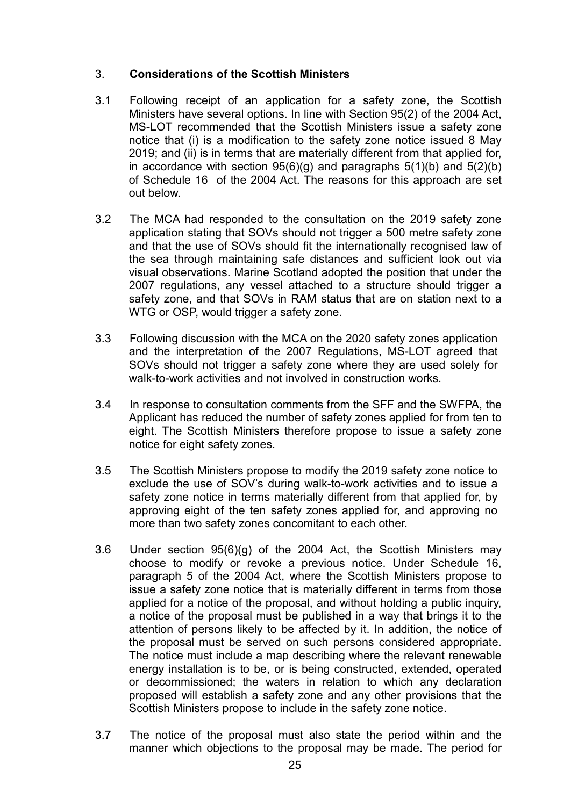# 3. **Considerations of the Scottish Ministers**

- 3.1 Following receipt of an application for a safety zone, the Scottish Ministers have several options. In line with Section 95(2) of the 2004 Act, MS-LOT recommended that the Scottish Ministers issue a safety zone notice that (i) is a modification to the safety zone notice issued 8 May 2019; and (ii) is in terms that are materially different from that applied for, in accordance with section  $95(6)(g)$  and paragraphs  $5(1)(b)$  and  $5(2)(b)$ of Schedule 16 of the 2004 Act. The reasons for this approach are set out below.
- 3.2 The MCA had responded to the consultation on the 2019 safety zone application stating that SOVs should not trigger a 500 metre safety zone and that the use of SOVs should fit the internationally recognised law of the sea through maintaining safe distances and sufficient look out via visual observations. Marine Scotland adopted the position that under the 2007 regulations, any vessel attached to a structure should trigger a safety zone, and that SOVs in RAM status that are on station next to a WTG or OSP, would trigger a safety zone.
- 3.3 Following discussion with the MCA on the 2020 safety zones application and the interpretation of the 2007 Regulations, MS-LOT agreed that SOVs should not trigger a safety zone where they are used solely for walk-to-work activities and not involved in construction works.
- 3.4 In response to consultation comments from the SFF and the SWFPA, the Applicant has reduced the number of safety zones applied for from ten to eight. The Scottish Ministers therefore propose to issue a safety zone notice for eight safety zones.
- 3.5 The Scottish Ministers propose to modify the 2019 safety zone notice to exclude the use of SOV's during walk-to-work activities and to issue a safety zone notice in terms materially different from that applied for, by approving eight of the ten safety zones applied for, and approving no more than two safety zones concomitant to each other.
- 3.6 Under section 95(6)(g) of the 2004 Act, the Scottish Ministers may choose to modify or revoke a previous notice. Under Schedule 16, paragraph 5 of the 2004 Act, where the Scottish Ministers propose to issue a safety zone notice that is materially different in terms from those applied for a notice of the proposal, and without holding a public inquiry, a notice of the proposal must be published in a way that brings it to the attention of persons likely to be affected by it. In addition, the notice of the proposal must be served on such persons considered appropriate. The notice must include a map describing where the relevant renewable energy installation is to be, or is being constructed, extended, operated or decommissioned; the waters in relation to which any declaration proposed will establish a safety zone and any other provisions that the Scottish Ministers propose to include in the safety zone notice.
- 3.7 The notice of the proposal must also state the period within and the manner which objections to the proposal may be made. The period for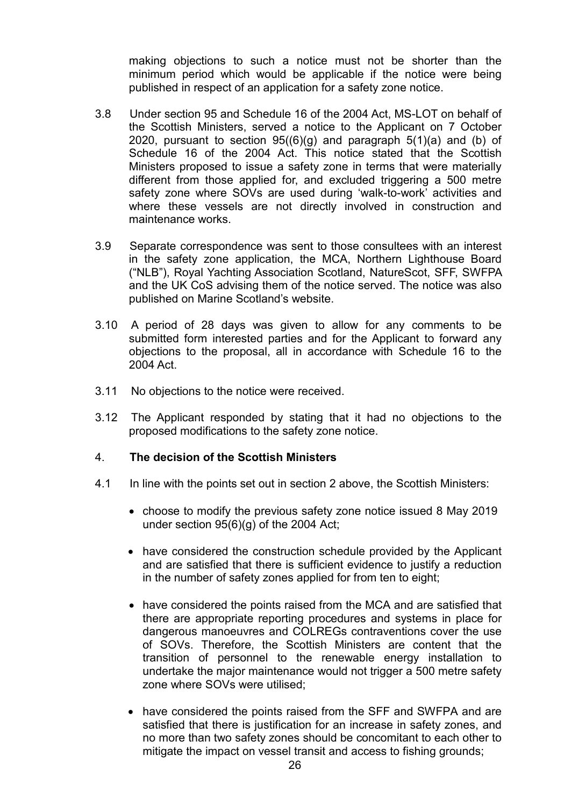making objections to such a notice must not be shorter than the minimum period which would be applicable if the notice were being published in respect of an application for a safety zone notice.

- 3.8 Under section 95 and Schedule 16 of the 2004 Act, MS-LOT on behalf of the Scottish Ministers, served a notice to the Applicant on 7 October 2020, pursuant to section  $95((6)(g)$  and paragraph  $5(1)(a)$  and (b) of Schedule 16 of the 2004 Act. This notice stated that the Scottish Ministers proposed to issue a safety zone in terms that were materially different from those applied for, and excluded triggering a 500 metre safety zone where SOVs are used during 'walk-to-work' activities and where these vessels are not directly involved in construction and maintenance works.
- 3.9 Separate correspondence was sent to those consultees with an interest in the safety zone application, the MCA, Northern Lighthouse Board ("NLB"), Royal Yachting Association Scotland, NatureScot, SFF, SWFPA and the UK CoS advising them of the notice served. The notice was also published on Marine Scotland's website.
- 3.10 A period of 28 days was given to allow for any comments to be submitted form interested parties and for the Applicant to forward any objections to the proposal, all in accordance with Schedule 16 to the 2004 Act.
- 3.11 No objections to the notice were received.
- 3.12 The Applicant responded by stating that it had no objections to the proposed modifications to the safety zone notice.

### 4. **The decision of the Scottish Ministers**

- 4.1 In line with the points set out in section 2 above, the Scottish Ministers:
	- choose to modify the previous safety zone notice issued 8 May 2019 under section 95(6)(g) of the 2004 Act;
	- have considered the construction schedule provided by the Applicant and are satisfied that there is sufficient evidence to justify a reduction in the number of safety zones applied for from ten to eight;
	- have considered the points raised from the MCA and are satisfied that there are appropriate reporting procedures and systems in place for dangerous manoeuvres and COLREGs contraventions cover the use of SOVs. Therefore, the Scottish Ministers are content that the transition of personnel to the renewable energy installation to undertake the major maintenance would not trigger a 500 metre safety zone where SOVs were utilised;
	- have considered the points raised from the SFF and SWFPA and are satisfied that there is justification for an increase in safety zones, and no more than two safety zones should be concomitant to each other to mitigate the impact on vessel transit and access to fishing grounds;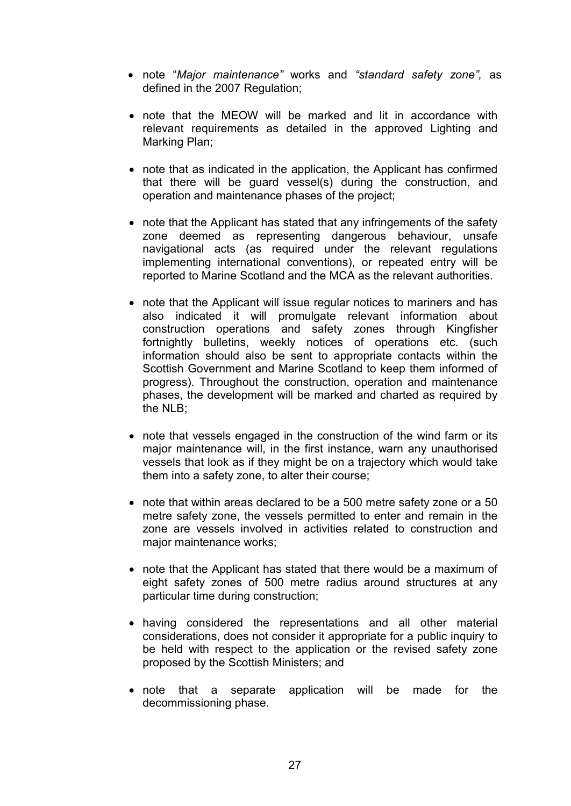- note "*Major maintenance"* works and *"standard safety zone",* as defined in the 2007 Regulation;
- note that the MEOW will be marked and lit in accordance with relevant requirements as detailed in the approved Lighting and Marking Plan;
- note that as indicated in the application, the Applicant has confirmed that there will be guard vessel(s) during the construction, and operation and maintenance phases of the project;
- note that the Applicant has stated that any infringements of the safety zone deemed as representing dangerous behaviour, unsafe navigational acts (as required under the relevant regulations implementing international conventions), or repeated entry will be reported to Marine Scotland and the MCA as the relevant authorities.
- note that the Applicant will issue regular notices to mariners and has also indicated it will promulgate relevant information about construction operations and safety zones through Kingfisher fortnightly bulletins, weekly notices of operations etc. (such information should also be sent to appropriate contacts within the Scottish Government and Marine Scotland to keep them informed of progress). Throughout the construction, operation and maintenance phases, the development will be marked and charted as required by the NLB;
- note that vessels engaged in the construction of the wind farm or its major maintenance will, in the first instance, warn any unauthorised vessels that look as if they might be on a trajectory which would take them into a safety zone, to alter their course;
- note that within areas declared to be a 500 metre safety zone or a 50 metre safety zone, the vessels permitted to enter and remain in the zone are vessels involved in activities related to construction and major maintenance works;
- note that the Applicant has stated that there would be a maximum of eight safety zones of 500 metre radius around structures at any particular time during construction;
- having considered the representations and all other material considerations, does not consider it appropriate for a public inquiry to be held with respect to the application or the revised safety zone proposed by the Scottish Ministers; and
- note that a separate application will be made for the decommissioning phase.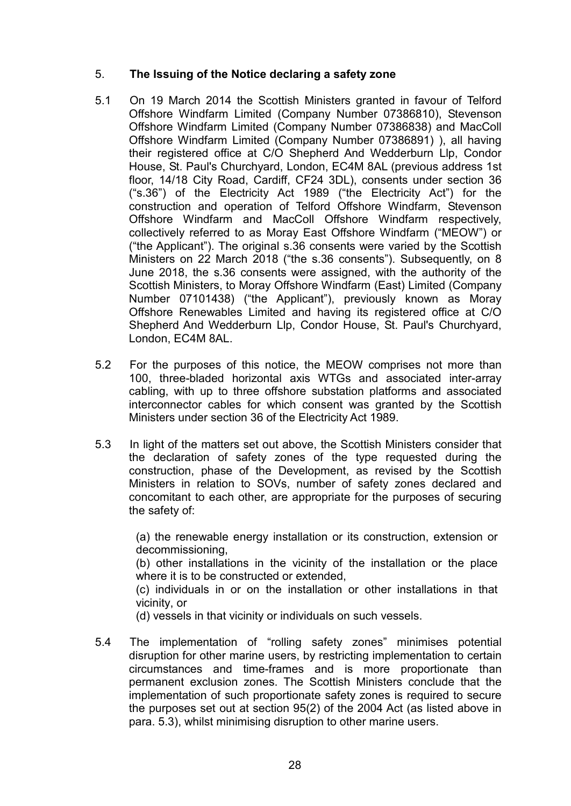### 5. **The Issuing of the Notice declaring a safety zone**

- 5.1 On 19 March 2014 the Scottish Ministers granted in favour of Telford Offshore Windfarm Limited (Company Number 07386810), Stevenson Offshore Windfarm Limited (Company Number 07386838) and MacColl Offshore Windfarm Limited (Company Number 07386891) ), all having their registered office at C/O Shepherd And Wedderburn Llp, Condor House, St. Paul's Churchyard, London, EC4M 8AL (previous address 1st floor, 14/18 City Road, Cardiff, CF24 3DL), consents under section 36 ("s.36") of the Electricity Act 1989 ("the Electricity Act") for the construction and operation of Telford Offshore Windfarm, Stevenson Offshore Windfarm and MacColl Offshore Windfarm respectively, collectively referred to as Moray East Offshore Windfarm ("MEOW") or ("the Applicant"). The original s.36 consents were varied by the Scottish Ministers on 22 March 2018 ("the s.36 consents"). Subsequently, on 8 June 2018, the s.36 consents were assigned, with the authority of the Scottish Ministers, to Moray Offshore Windfarm (East) Limited (Company Number 07101438) ("the Applicant"), previously known as Moray Offshore Renewables Limited and having its registered office at C/O Shepherd And Wedderburn Llp, Condor House, St. Paul's Churchyard, London, EC4M 8AL.
- 5.2 For the purposes of this notice, the MEOW comprises not more than 100, three-bladed horizontal axis WTGs and associated inter-array cabling, with up to three offshore substation platforms and associated interconnector cables for which consent was granted by the Scottish Ministers under section 36 of the Electricity Act 1989.
- 5.3 In light of the matters set out above, the Scottish Ministers consider that the declaration of safety zones of the type requested during the construction, phase of the Development, as revised by the Scottish Ministers in relation to SOVs, number of safety zones declared and concomitant to each other, are appropriate for the purposes of securing the safety of:

(a) the renewable energy installation or its construction, extension or decommissioning,

(b) other installations in the vicinity of the installation or the place where it is to be constructed or extended,

(c) individuals in or on the installation or other installations in that vicinity, or

(d) vessels in that vicinity or individuals on such vessels.

5.4 The implementation of "rolling safety zones" minimises potential disruption for other marine users, by restricting implementation to certain circumstances and time-frames and is more proportionate than permanent exclusion zones. The Scottish Ministers conclude that the implementation of such proportionate safety zones is required to secure the purposes set out at section 95(2) of the 2004 Act (as listed above in para. 5.3), whilst minimising disruption to other marine users.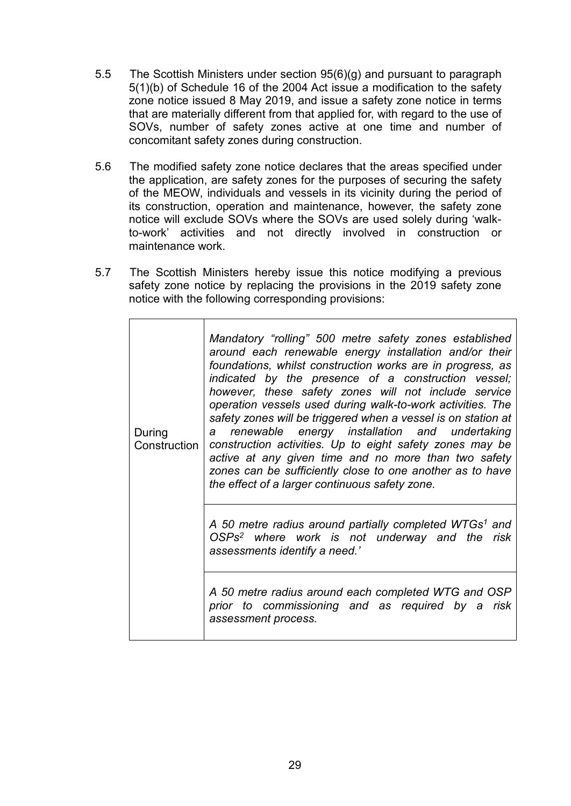- 5.5 The Scottish Ministers under section 95(6)(g) and pursuant to paragraph 5(1)(b) of Schedule 16 of the 2004 Act issue a modification to the safety zone notice issued 8 May 2019, and issue a safety zone notice in terms that are materially different from that applied for, with regard to the use of SOVs, number of safety zones active at one time and number of concomitant safety zones during construction.
- 5.6 The modified safety zone notice declares that the areas specified under the application, are safety zones for the purposes of securing the safety of the MEOW, individuals and vessels in its vicinity during the period of its construction, operation and maintenance, however, the safety zone notice will exclude SOVs where the SOVs are used solely during 'walkto-work' activities and not directly involved in construction or maintenance work.
- 5.7 The Scottish Ministers hereby issue this notice modifying a previous safety zone notice by replacing the provisions in the 2019 safety zone notice with the following corresponding provisions:

| During<br>Construction | Mandatory "rolling" 500 metre safety zones established<br>around each renewable energy installation and/or their<br>foundations, whilst construction works are in progress, as<br>indicated by the presence of a construction vessel;<br>however, these safety zones will not include service<br>operation vessels used during walk-to-work activities. The<br>safety zones will be triggered when a vessel is on station at<br>a renewable energy installation and undertaking<br>construction activities. Up to eight safety zones may be<br>active at any given time and no more than two safety<br>zones can be sufficiently close to one another as to have<br>the effect of a larger continuous safety zone. |
|------------------------|--------------------------------------------------------------------------------------------------------------------------------------------------------------------------------------------------------------------------------------------------------------------------------------------------------------------------------------------------------------------------------------------------------------------------------------------------------------------------------------------------------------------------------------------------------------------------------------------------------------------------------------------------------------------------------------------------------------------|
|                        | A 50 metre radius around partially completed WTGs <sup>1</sup> and<br>OSPs <sup>2</sup> where work is not underway and the risk<br>assessments identify a need.'                                                                                                                                                                                                                                                                                                                                                                                                                                                                                                                                                   |
|                        | A 50 metre radius around each completed WTG and OSP<br>prior to commissioning and as required by a risk<br>assessment process.                                                                                                                                                                                                                                                                                                                                                                                                                                                                                                                                                                                     |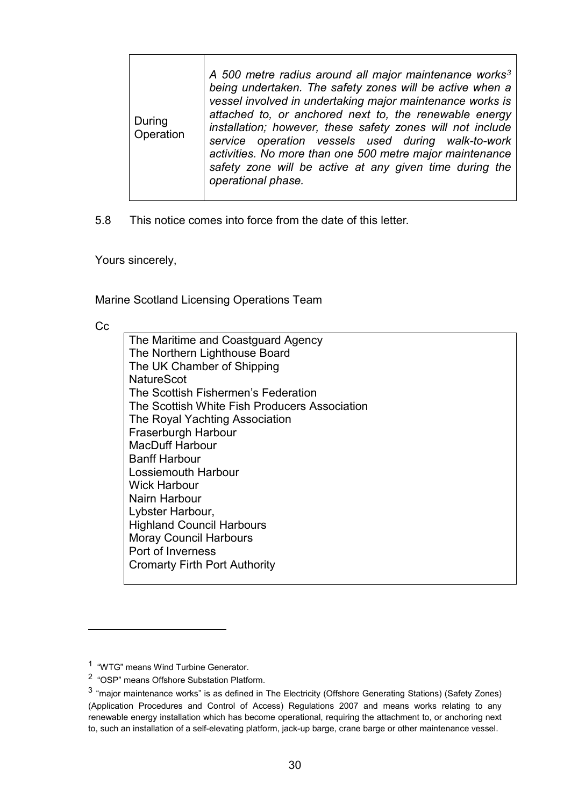5.8 This notice comes into force from the date of this letter.

Yours sincerely,

Marine Scotland Licensing Operations Team

Cc

 $\overline{a}$ 

| The Maritime and Coastguard Agency            |
|-----------------------------------------------|
| The Northern Lighthouse Board                 |
| The UK Chamber of Shipping                    |
| <b>NatureScot</b>                             |
| The Scottish Fishermen's Federation           |
| The Scottish White Fish Producers Association |
| The Royal Yachting Association                |
| Fraserburgh Harbour                           |
| <b>MacDuff Harbour</b>                        |
| <b>Banff Harbour</b>                          |
| Lossiemouth Harbour                           |
| <b>Wick Harbour</b>                           |
| Nairn Harbour                                 |
| Lybster Harbour,                              |
| <b>Highland Council Harbours</b>              |
| <b>Moray Council Harbours</b>                 |
| Port of Inverness                             |
| <b>Cromarty Firth Port Authority</b>          |
|                                               |

<span id="page-29-0"></span><sup>1 &</sup>quot;WTG" means Wind Turbine Generator.

<sup>2 &</sup>quot;OSP" means Offshore Substation Platform.

<sup>3</sup> "major maintenance works" is as defined in The Electricity (Offshore Generating Stations) (Safety Zones) (Application Procedures and Control of Access) Regulations 2007 and means works relating to any renewable energy installation which has become operational, requiring the attachment to, or anchoring next to, such an installation of a self-elevating platform, jack-up barge, crane barge or other maintenance vessel.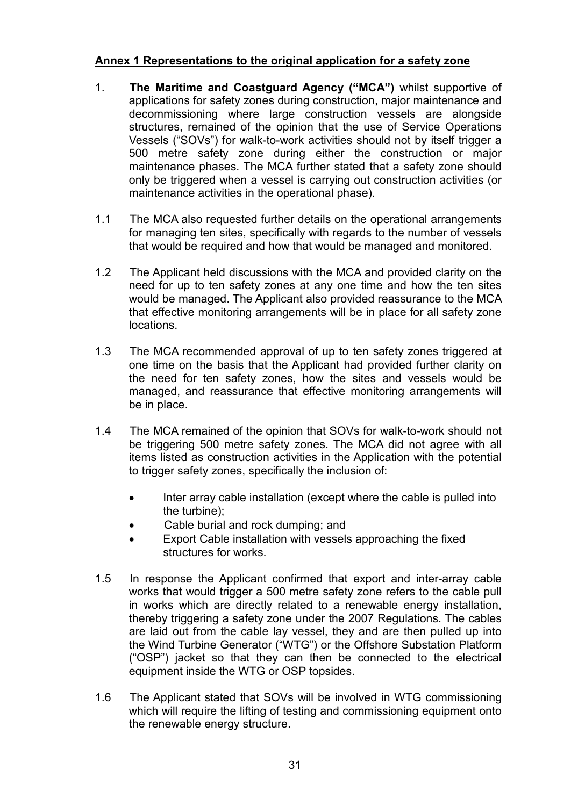### **Annex 1 Representations to the original application for a safety zone**

- 1. **The Maritime and Coastguard Agency ("MCA")** whilst supportive of applications for safety zones during construction, major maintenance and decommissioning where large construction vessels are alongside structures, remained of the opinion that the use of Service Operations Vessels ("SOVs") for walk-to-work activities should not by itself trigger a 500 metre safety zone during either the construction or major maintenance phases. The MCA further stated that a safety zone should only be triggered when a vessel is carrying out construction activities (or maintenance activities in the operational phase).
- 1.1 The MCA also requested further details on the operational arrangements for managing ten sites, specifically with regards to the number of vessels that would be required and how that would be managed and monitored.
- 1.2 The Applicant held discussions with the MCA and provided clarity on the need for up to ten safety zones at any one time and how the ten sites would be managed. The Applicant also provided reassurance to the MCA that effective monitoring arrangements will be in place for all safety zone locations.
- 1.3 The MCA recommended approval of up to ten safety zones triggered at one time on the basis that the Applicant had provided further clarity on the need for ten safety zones, how the sites and vessels would be managed, and reassurance that effective monitoring arrangements will be in place.
- 1.4 The MCA remained of the opinion that SOVs for walk-to-work should not be triggering 500 metre safety zones. The MCA did not agree with all items listed as construction activities in the Application with the potential to trigger safety zones, specifically the inclusion of:
	- Inter array cable installation (except where the cable is pulled into the turbine);
	- Cable burial and rock dumping; and
	- Export Cable installation with vessels approaching the fixed structures for works.
- 1.5 In response the Applicant confirmed that export and inter-array cable works that would trigger a 500 metre safety zone refers to the cable pull in works which are directly related to a renewable energy installation, thereby triggering a safety zone under the 2007 Regulations. The cables are laid out from the cable lay vessel, they and are then pulled up into the Wind Turbine Generator ("WTG") or the Offshore Substation Platform ("OSP") jacket so that they can then be connected to the electrical equipment inside the WTG or OSP topsides.
- 1.6 The Applicant stated that SOVs will be involved in WTG commissioning which will require the lifting of testing and commissioning equipment onto the renewable energy structure.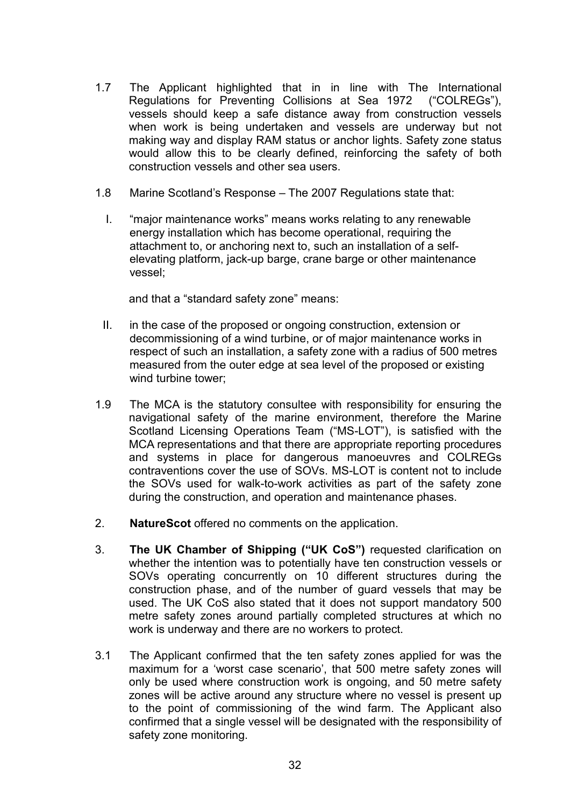- 1.7 The Applicant highlighted that in in line with The International Regulations for Preventing Collisions at Sea 1972 ("COLREGs"), vessels should keep a safe distance away from construction vessels when work is being undertaken and vessels are underway but not making way and display RAM status or anchor lights. Safety zone status would allow this to be clearly defined, reinforcing the safety of both construction vessels and other sea users.
- 1.8 Marine Scotland's Response The 2007 Regulations state that:
	- I. "major maintenance works" means works relating to any renewable energy installation which has become operational, requiring the attachment to, or anchoring next to, such an installation of a selfelevating platform, jack-up barge, crane barge or other maintenance vessel;

and that a "standard safety zone" means:

- II. in the case of the proposed or ongoing construction, extension or decommissioning of a wind turbine, or of major maintenance works in respect of such an installation, a safety zone with a radius of 500 metres measured from the outer edge at sea level of the proposed or existing wind turbine tower;
- 1.9 The MCA is the statutory consultee with responsibility for ensuring the navigational safety of the marine environment, therefore the Marine Scotland Licensing Operations Team ("MS-LOT"), is satisfied with the MCA representations and that there are appropriate reporting procedures and systems in place for dangerous manoeuvres and COLREGs contraventions cover the use of SOVs. MS-LOT is content not to include the SOVs used for walk-to-work activities as part of the safety zone during the construction, and operation and maintenance phases.
- 2. **NatureScot** offered no comments on the application.
- 3. **The UK Chamber of Shipping ("UK CoS")** requested clarification on whether the intention was to potentially have ten construction vessels or SOVs operating concurrently on 10 different structures during the construction phase, and of the number of guard vessels that may be used. The UK CoS also stated that it does not support mandatory 500 metre safety zones around partially completed structures at which no work is underway and there are no workers to protect.
- 3.1 The Applicant confirmed that the ten safety zones applied for was the maximum for a 'worst case scenario', that 500 metre safety zones will only be used where construction work is ongoing, and 50 metre safety zones will be active around any structure where no vessel is present up to the point of commissioning of the wind farm. The Applicant also confirmed that a single vessel will be designated with the responsibility of safety zone monitoring.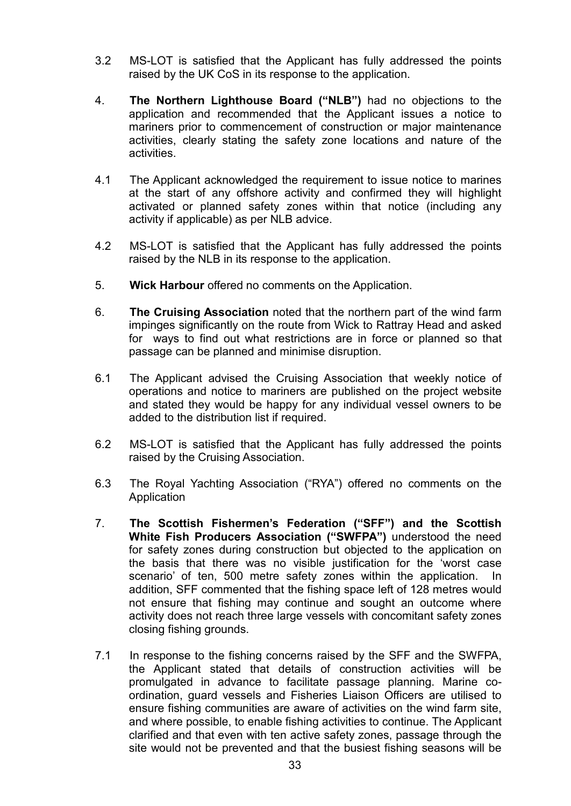- 3.2 MS-LOT is satisfied that the Applicant has fully addressed the points raised by the UK CoS in its response to the application.
- 4. **The Northern Lighthouse Board ("NLB")** had no objections to the application and recommended that the Applicant issues a notice to mariners prior to commencement of construction or major maintenance activities, clearly stating the safety zone locations and nature of the activities.
- 4.1 The Applicant acknowledged the requirement to issue notice to marines at the start of any offshore activity and confirmed they will highlight activated or planned safety zones within that notice (including any activity if applicable) as per NLB advice.
- 4.2 MS-LOT is satisfied that the Applicant has fully addressed the points raised by the NLB in its response to the application.
- 5. **Wick Harbour** offered no comments on the Application.
- 6. **The Cruising Association** noted that the northern part of the wind farm impinges significantly on the route from Wick to Rattray Head and asked for ways to find out what restrictions are in force or planned so that passage can be planned and minimise disruption.
- 6.1 The Applicant advised the Cruising Association that weekly notice of operations and notice to mariners are published on the project website and stated they would be happy for any individual vessel owners to be added to the distribution list if required.
- 6.2 MS-LOT is satisfied that the Applicant has fully addressed the points raised by the Cruising Association.
- 6.3 The Royal Yachting Association ("RYA") offered no comments on the Application
- 7. **The Scottish Fishermen's Federation ("SFF") and the Scottish White Fish Producers Association ("SWFPA")** understood the need for safety zones during construction but objected to the application on the basis that there was no visible justification for the 'worst case scenario' of ten, 500 metre safety zones within the application. In addition, SFF commented that the fishing space left of 128 metres would not ensure that fishing may continue and sought an outcome where activity does not reach three large vessels with concomitant safety zones closing fishing grounds.
- 7.1 In response to the fishing concerns raised by the SFF and the SWFPA, the Applicant stated that details of construction activities will be promulgated in advance to facilitate passage planning. Marine coordination, guard vessels and Fisheries Liaison Officers are utilised to ensure fishing communities are aware of activities on the wind farm site, and where possible, to enable fishing activities to continue. The Applicant clarified and that even with ten active safety zones, passage through the site would not be prevented and that the busiest fishing seasons will be